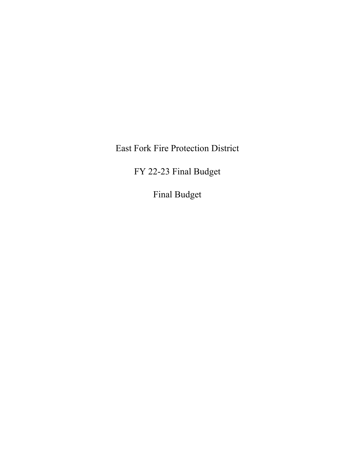East Fork Fire Protection District

FY 22-23 Final Budget

Final Budget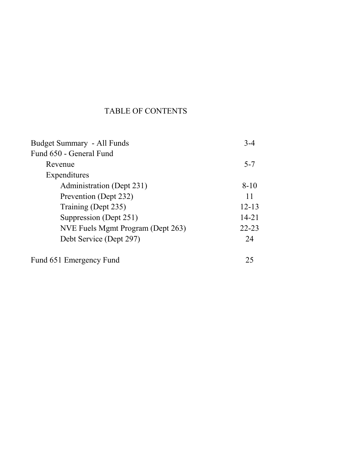# TABLE OF CONTENTS

| Budget Summary - All Funds        | $3-4$     |
|-----------------------------------|-----------|
| Fund 650 - General Fund           |           |
| Revenue                           | $5 - 7$   |
| Expenditures                      |           |
| Administration (Dept 231)         | $8-10$    |
| Prevention (Dept 232)             | 11        |
| Training (Dept 235)               | $12 - 13$ |
| Suppression (Dept 251)            | $14 - 21$ |
| NVE Fuels Mgmt Program (Dept 263) | $22 - 23$ |
| Debt Service (Dept 297)           | 24        |
| Fund 651 Emergency Fund           |           |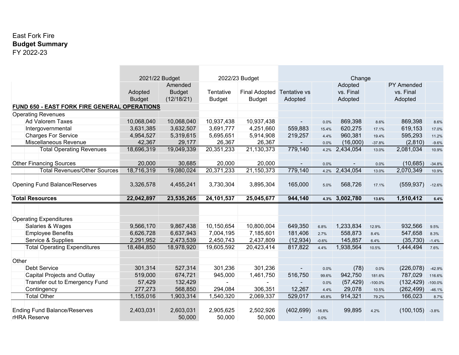### East Fork Fire **Budget Summary** FY 2022-23

|                                                     | 2021/22 Budget           |                                        |                            | 2022/23 Budget                        |                         |                  | Change                          |           |                                           |           |
|-----------------------------------------------------|--------------------------|----------------------------------------|----------------------------|---------------------------------------|-------------------------|------------------|---------------------------------|-----------|-------------------------------------------|-----------|
|                                                     | Adopted<br><b>Budget</b> | Amended<br><b>Budget</b><br>(12/18/21) | Tentative<br><b>Budget</b> | <b>Final Adopted</b><br><b>Budget</b> | Tentative vs<br>Adopted |                  | Adopted<br>vs. Final<br>Adopted |           | <b>PY Amended</b><br>vs. Final<br>Adopted |           |
| <b>FUND 650 - EAST FORK FIRE GENERAL OPERATIONS</b> |                          |                                        |                            |                                       |                         |                  |                                 |           |                                           |           |
| <b>Operating Revenues</b>                           |                          |                                        |                            |                                       |                         |                  |                                 |           |                                           |           |
| <b>Ad Valorem Taxes</b>                             | 10,068,040               | 10,068,040                             | 10,937,438                 | 10,937,438                            | $\blacksquare$          | 0.0%             | 869,398                         | 8.6%      | 869,398                                   | 8.6%      |
| Intergovernmental                                   | 3,631,385                | 3,632,507                              | 3,691,777                  | 4,251,660                             | 559,883                 | 15.4%            | 620,275                         | 17.1%     | 619,153                                   | 17.0%     |
| <b>Charges For Service</b>                          | 4,954,527                | 5,319,615                              | 5,695,651                  | 5,914,908                             | 219,257                 | 4.4%             | 960,381                         | 19.4%     | 595,293                                   | 11.2%     |
| Miscellaneous Revenue                               | 42,367                   | 29,177                                 | 26,367                     | 26,367                                |                         | 0.0%             | (16,000)                        | $-37.8%$  | (2,810)                                   | $-9.6%$   |
| <b>Total Operating Revenues</b>                     | 18,696,319               | 19,049,339                             | 20,351,233                 | 21,130,373                            | 779,140                 | 4.2%             | 2,434,054                       | 13.0%     | 2,081,034                                 | 10.9%     |
| <b>Other Financing Sources</b>                      | 20,000                   | 30,685                                 | 20,000                     | 20,000                                | $\blacksquare$          | 0.0%             |                                 | 0.0%      | (10, 685)                                 | $-34.8%$  |
| <b>Total Revenues/Other Sources</b>                 | 18,716,319               | 19,080,024                             | 20,371,233                 | 21,150,373                            | 779,140                 | 4.2%             | 2,434,054                       | 13.0%     | 2,070,349                                 | 10.9%     |
| <b>Opening Fund Balance/Reserves</b>                | 3,326,578                | 4,455,241                              | 3,730,304                  | 3,895,304                             | 165,000                 | 5.0%             | 568,726                         | 17.1%     | (559, 937)                                | $-12.6%$  |
| <b>Total Resources</b>                              | 22,042,897               | 23,535,265                             | 24,101,537                 | 25,045,677                            | 944,140                 | 4.3%             | 3,002,780                       | 13.6%     | 1,510,412                                 | 6.4%      |
|                                                     |                          |                                        |                            |                                       |                         |                  |                                 |           |                                           |           |
| <b>Operating Expenditures</b>                       |                          |                                        |                            |                                       |                         |                  |                                 |           |                                           |           |
| Salaries & Wages                                    | 9,566,170                | 9,867,438                              | 10,150,654                 | 10,800,004                            | 649,350                 | 6.8%             | 1,233,834                       | 12.9%     | 932,566                                   | 9.5%      |
| <b>Employee Benefits</b>                            | 6,626,728                | 6,637,943                              | 7,004,195                  | 7,185,601                             | 181,406                 | 2.7%             | 558,873                         | 8.4%      | 547,658                                   | 8.3%      |
| Service & Supplies                                  | 2,291,952                | 2,473,539                              | 2,450,743                  | 2,437,809                             | (12, 934)               | $-0.6%$          | 145,857                         | 6.4%      | (35, 730)                                 | $-1.4%$   |
| <b>Total Operating Expenditures</b>                 | 18,484,850               | 18,978,920                             | 19,605,592                 | 20,423,414                            | 817,822                 | 4.4%             | 1,938,564                       | 10.5%     | 1,444,494                                 | 7.6%      |
|                                                     |                          |                                        |                            |                                       |                         |                  |                                 |           |                                           |           |
| Other                                               |                          |                                        |                            |                                       |                         |                  |                                 |           |                                           |           |
| <b>Debt Service</b>                                 | 301,314                  | 527,314                                | 301,236                    | 301,236                               |                         | 0.0%             | (78)                            | 0.0%      | (226, 078)                                | $-42.9%$  |
| <b>Capital Projects and Outlay</b>                  | 519,000                  | 674,721                                | 945,000                    | 1,461,750                             | 516,750                 | 99.6%            | 942,750                         | 181.6%    | 787,029                                   | 116.6%    |
| Transfer out to Emergency Fund                      | 57,429                   | 132,429                                |                            |                                       |                         | 0.0%             | (57, 429)                       | $-100.0%$ | (132, 429)                                | $-100.0%$ |
| Contingency                                         | 277,273                  | 568,850                                | 294,084                    | 306,351                               | 12,267                  | 4.4%             | 29,078                          | 10.5%     | (262, 499)                                | $-46.1%$  |
| <b>Total Other</b>                                  | 1,155,016                | 1,903,314                              | 1,540,320                  | 2,069,337                             | 529,017                 | 45.8%            | 914,321                         | 79.2%     | 166,023                                   | 8.7%      |
| <b>Ending Fund Balance/Reserves</b><br>rHRA Reserve | 2,403,031                | 2,603,031<br>50,000                    | 2,905,625<br>50,000        | 2,502,926<br>50,000                   | (402, 699)              | $-16.8%$<br>0.0% | 99,895                          | 4.2%      | (100, 105)                                | $-3.8%$   |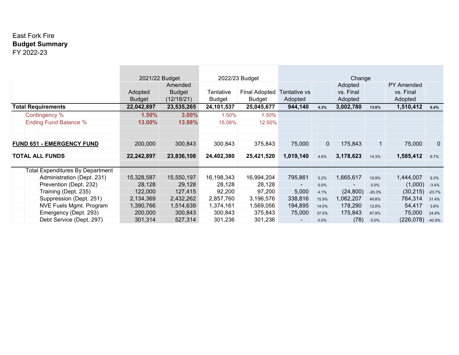### East Fork Fire **Budget Summary** FY 2022-23

|                                         | 2021/22 Budget           |                                        |                            | 2022/23 Budget                        |                         | Change         |                                 |          |                                           |              |
|-----------------------------------------|--------------------------|----------------------------------------|----------------------------|---------------------------------------|-------------------------|----------------|---------------------------------|----------|-------------------------------------------|--------------|
|                                         | Adopted<br><b>Budget</b> | Amended<br><b>Budget</b><br>(12/18/21) | Tentative<br><b>Budget</b> | <b>Final Adopted</b><br><b>Budget</b> | Tentative vs<br>Adopted |                | Adopted<br>vs. Final<br>Adopted |          | <b>PY Amended</b><br>vs. Final<br>Adopted |              |
| <b>Total Requirements</b>               | 22,042,897               | 23,535,265                             | 24,101,537                 | 25,045,677                            | 944,140                 | 4.3%           | 3,002,780                       | 13.6%    | 1,510,412                                 | 6.4%         |
| Contingency %                           | 1.50%                    | 3.00%                                  | 1.50%                      | 1.50%                                 |                         |                |                                 |          |                                           |              |
| <b>Ending Fund Balance %</b>            | 13.00%                   | 13.98%                                 | 15.08%                     | 12.50%                                |                         |                |                                 |          |                                           |              |
|                                         |                          |                                        |                            |                                       |                         |                |                                 |          |                                           |              |
|                                         |                          |                                        |                            |                                       |                         |                |                                 |          |                                           |              |
| <b>FUND 651 - EMERGENCY FUND</b>        | 200,000                  | 300,843                                | 300,843                    | 375,843                               | 75,000                  | $\overline{0}$ | 175,843                         |          | 75,000                                    | $\mathbf{0}$ |
| <b>TOTAL ALL FUNDS</b>                  | 22,242,897               | 23,836,108                             | 24,402,380                 | 25,421,520                            | 1,019,140               | 4.6%           | 3,178,623                       | 14.3%    | 1,585,412                                 | 6.7%         |
| <b>Total Expenditures By Department</b> |                          |                                        |                            |                                       |                         |                |                                 |          |                                           |              |
| Administration (Dept. 231)              | 15,328,587               | 15,550,197                             | 16,198,343                 | 16,994,204                            | 795,861                 | 5.2%           | 1,665,617                       | 10.9%    | 1,444,007                                 | 9.3%         |
| Prevention (Dept. 232)                  | 28,128                   | 29,128                                 | 28,128                     | 28,128                                | $\sim$                  | 0.0%           | $\overline{\phantom{a}}$        | 0.0%     | (1,000)                                   | $-3.4%$      |
| Training (Dept. 235)                    | 122,000                  | 127,415                                | 92,200                     | 97,200                                | 5,000                   | 4.1%           | (24, 800)                       | $-20.3%$ | (30, 215)                                 | $-23.7%$     |
| Suppression (Dept. 251)                 | 2,134,369                | 2,432,262                              | 2,857,760                  | 3,196,576                             | 338,816                 | 15.9%          | 1,062,207                       | 49.8%    | 764,314                                   | 31.4%        |
| <b>NVE Fuels Mgmt. Program</b>          | 1,390,766                | 1,514,639                              | 1,374,161                  | 1,569,056                             | 194,895                 | 14.0%          | 178,290                         | 12.8%    | 54,417                                    | 3.6%         |
| Emergency (Dept. 293)                   | 200,000                  | 300,843                                | 300,843                    | 375,843                               | 75,000                  | 37.5%          | 175,843                         | 87.9%    | 75,000                                    | 24.9%        |
| Debt Service (Dept. 297)                | 301,314                  | 527,314                                | 301,236                    | 301,236                               | ۰.                      | 0.0%           | (78)                            | 0.0%     | (226, 078)                                | $-42.9%$     |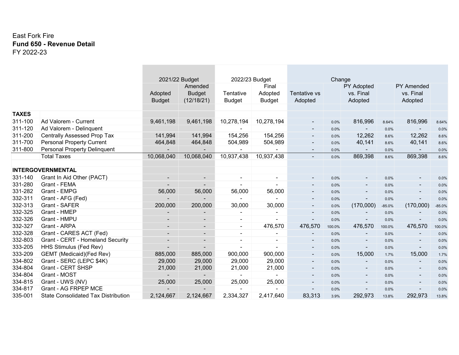#### East Fork Fire **Fund 650 - Revenue Detail** FY 2022-23

**College** 

|              |                                            | 2021/22 Budget           |                          | 2022/23 Budget |                |                          | Change |                          |          |                          |          |
|--------------|--------------------------------------------|--------------------------|--------------------------|----------------|----------------|--------------------------|--------|--------------------------|----------|--------------------------|----------|
|              |                                            |                          | Amended                  |                | Final          |                          |        | PY Adopted               |          | <b>PY Amended</b>        |          |
|              |                                            | Adopted                  | <b>Budget</b>            | Tentative      | Adopted        | Tentative vs             |        | vs. Final                |          | vs. Final                |          |
|              |                                            | <b>Budget</b>            | (12/18/21)               | <b>Budget</b>  | <b>Budget</b>  | Adopted                  |        | Adopted                  |          | Adopted                  |          |
|              |                                            |                          |                          |                |                |                          |        |                          |          |                          |          |
| <b>TAXES</b> |                                            |                          |                          |                |                |                          |        |                          |          |                          |          |
| 311-100      | Ad Valorem - Current                       | 9,461,198                | 9,461,198                | 10,278,194     | 10,278,194     |                          | 0.0%   | 816,996                  | 8.64%    | 816,996                  | 8.64%    |
| 311-120      | Ad Valorem - Delinquent                    |                          |                          |                |                |                          | 0.0%   | $\sim$                   | 0.0%     | ۰.                       | 0.0%     |
| 311-200      | <b>Centrally Assessed Prop Tax</b>         | 141,994                  | 141,994                  | 154,256        | 154,256        | ٠                        | 0.0%   | 12,262                   | 8.6%     | 12,262                   | 8.6%     |
| 311-700      | <b>Personal Property Current</b>           | 464,848                  | 464,848                  | 504,989        | 504,989        | ٠                        | 0.0%   | 40,141                   | 8.6%     | 40,141                   | 8.6%     |
| 311-800      | <b>Personal Property Delinquent</b>        | $\overline{\phantom{a}}$ | ۰.                       | $\blacksquare$ |                | $\sim$                   | 0.0%   | $\sim$                   | 0.0%     | $\sim$                   | 0.0%     |
|              | <b>Total Taxes</b>                         | 10,068,040               | 10,068,040               | 10,937,438     | 10,937,438     | $\blacksquare$           | 0.0%   | 869,398                  | 8.6%     | 869,398                  | 8.6%     |
|              |                                            |                          |                          |                |                |                          |        |                          |          |                          |          |
|              | <b>INTERGOVERNMENTAL</b>                   |                          |                          |                |                |                          |        |                          |          |                          |          |
| 331-140      | Grant In Aid Other (PACT)                  |                          | $\sim$                   | $\blacksquare$ | $\blacksquare$ | $\overline{\phantom{a}}$ | 0.0%   | $\blacksquare$           | 0.0%     |                          | 0.0%     |
| 331-280      | Grant - FEMA                               |                          |                          | $\blacksquare$ |                | $\overline{\phantom{a}}$ | 0.0%   | $\overline{\phantom{a}}$ | 0.0%     |                          | 0.0%     |
| 331-282      | Grant - EMPG                               | 56,000                   | 56,000                   | 56,000         | 56,000         |                          | 0.0%   | $\overline{\phantom{a}}$ | 0.0%     |                          | 0.0%     |
| 332-311      | Grant - AFG (Fed)                          |                          |                          | ٠              |                | $\overline{\phantom{a}}$ | 0.0%   |                          | 0.0%     |                          | 0.0%     |
| 332-313      | Grant - SAFER                              | 200,000                  | 200,000                  | 30,000         | 30,000         | $\overline{\phantom{a}}$ | 0.0%   | (170,000)                | $-85.0%$ | (170,000)                | $-85.0%$ |
| 332-325      | Grant - HMEP                               |                          |                          | $\blacksquare$ |                |                          | 0.0%   | $\blacksquare$           | 0.0%     |                          | 0.0%     |
| 332-326      | Grant - HMPU                               |                          | $\overline{\phantom{a}}$ | $\sim$         | $\overline{a}$ |                          | 0.0%   | $\blacksquare$           | 0.0%     | ٠                        | 0.0%     |
| 332-327      | Grant - ARPA                               |                          |                          | $\sim$         | 476,570        | 476,570                  | 100.0% | 476,570                  | 100.0%   | 476,570                  | 100.0%   |
| 332-328      | Grant - CARES ACT (Fed)                    |                          | $\blacksquare$           | $\sim$         |                | $\overline{\phantom{a}}$ | 0.0%   |                          | 0.0%     |                          | 0.0%     |
| 332-803      | Grant - CERT - Homeland Security           | $\overline{\phantom{a}}$ | $\overline{\phantom{a}}$ | $\sim$         | $\sim$         | $\overline{\phantom{a}}$ | 0.0%   | $\overline{\phantom{a}}$ | 0.0%     | ٠                        | 0.0%     |
| 333-205      | HHS Stimulus (Fed Rev)                     |                          | ۵.                       | $\blacksquare$ |                | $\overline{\phantom{a}}$ | 0.0%   | $\overline{\phantom{0}}$ | 0.0%     | $\overline{\phantom{a}}$ | 0.0%     |
| 333-209      | GEMT (Medicaid)(Fed Rev)                   | 885,000                  | 885,000                  | 900,000        | 900,000        | ٠                        | 0.0%   | 15,000                   | 1.7%     | 15,000                   | 1.7%     |
| 334-802      | Grant - SERC (LEPC \$4K)                   | 29,000                   | 29,000                   | 29,000         | 29,000         | $\overline{\phantom{a}}$ | 0.0%   |                          | 0.0%     |                          | 0.0%     |
| 334-804      | Grant - CERT SHSP                          | 21,000                   | 21,000                   | 21,000         | 21,000         | $\overline{\phantom{a}}$ | 0.0%   | $\overline{\phantom{a}}$ | 0.0%     | $\overline{\phantom{a}}$ | 0.0%     |
| 334-804      | Grant - MOST                               |                          |                          |                |                | $\overline{\phantom{a}}$ | 0.0%   | ٠                        | 0.0%     | -                        | 0.0%     |
| 334-815      | Grant - UWS (NV)                           | 25,000                   | 25,000                   | 25,000         | 25,000         |                          | 0.0%   | $\blacksquare$           | 0.0%     |                          | 0.0%     |
| 334-817      | Grant - AG FRPEP MCE                       |                          |                          |                |                |                          | 0.0%   |                          | 0.0%     |                          | 0.0%     |
| 335-001      | <b>State Consolidated Tax Distribution</b> | 2,124,667                | 2,124,667                | 2,334,327      | 2,417,640      | 83,313                   | 3.9%   | 292,973                  | 13.8%    | 292,973                  | 13.8%    |
|              |                                            |                          |                          |                |                |                          |        |                          |          |                          |          |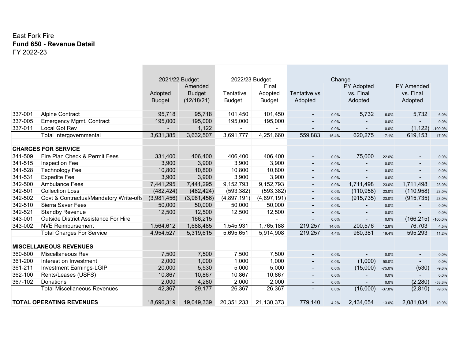#### East Fork Fire **Fund 650 - Revenue Detail** FY 2022-23

|         |                                                  | 2021/22 Budget |                  | 2022/23 Budget |               |                          | Change        |                          |               |                            |                    |
|---------|--------------------------------------------------|----------------|------------------|----------------|---------------|--------------------------|---------------|--------------------------|---------------|----------------------------|--------------------|
|         |                                                  |                | Amended          |                | Final         |                          |               | PY Adopted               |               | <b>PY Amended</b>          |                    |
|         |                                                  | Adopted        | <b>Budget</b>    | Tentative      | Adopted       | Tentative vs             |               | vs. Final                |               | vs. Final                  |                    |
|         |                                                  | <b>Budget</b>  | (12/18/21)       | <b>Budget</b>  | <b>Budget</b> | Adopted                  |               | Adopted                  |               | Adopted                    |                    |
| 337-001 | <b>Alpine Contract</b>                           | 95,718         | 95,718           | 101,450        | 101,450       |                          |               | 5,732                    |               | 5,732                      |                    |
| 337-005 |                                                  |                |                  |                |               |                          | 0.0%          |                          | 6.0%          |                            | 6.0%               |
| 337-011 | <b>Emergency Mgmt. Contract</b><br>Local Got Rev | 195,000        | 195,000<br>1,122 | 195,000        | 195,000       |                          | 0.0%          | $\overline{\phantom{a}}$ | 0.0%          | $\blacksquare$<br>(1, 122) | 0.0%               |
|         | Total Intergovernmental                          | 3,631,385      | 3,632,507        | 3,691,777      | 4,251,660     | 559,883                  | 0.0%<br>15.4% | 620,275                  | 0.0%<br>17.1% | 619,153                    | $-100.0%$<br>17.0% |
|         |                                                  |                |                  |                |               |                          |               |                          |               |                            |                    |
|         | <b>CHARGES FOR SERVICE</b>                       |                |                  |                |               |                          |               |                          |               |                            |                    |
| 341-509 | Fire Plan Check & Permit Fees                    | 331,400        | 406,400          | 406,400        | 406,400       |                          | 0.0%          | 75,000                   | 22.6%         |                            | 0.0%               |
| 341-515 | Inspection Fee                                   | 3,900          | 3,900            | 3,900          | 3,900         |                          | 0.0%          |                          | 0.0%          |                            | 0.0%               |
| 341-528 | <b>Technology Fee</b>                            | 10,800         | 10,800           | 10,800         | 10,800        | $\overline{\phantom{a}}$ | 0.0%          |                          | 0.0%          |                            | 0.0%               |
| 341-531 | <b>Expedite Fee</b>                              | 3,900          | 3,900            | 3,900          | 3,900         | $\sim$                   | 0.0%          | $\overline{\phantom{a}}$ | 0.0%          | ۰.                         | 0.0%               |
| 342-500 | <b>Ambulance Fees</b>                            | 7,441,295      | 7,441,295        | 9,152,793      | 9,152,793     | $\blacksquare$           | 0.0%          | 1,711,498                | 23.0%         | 1,711,498                  | 23.0%              |
| 342-501 | <b>Collection Loss</b>                           | (482, 424)     | (482, 424)       | (593, 382)     | (593, 382)    | $\blacksquare$           | 0.0%          | (110, 958)               | 23.0%         | (110, 958)                 | 23.0%              |
| 342-502 | Govt & Contractual/Mandatory Write-offs          | (3,981,456)    | (3,981,456)      | (4,897,191)    | (4,897,191)   |                          | 0.0%          | (915, 735)               | 23.0%         | (915, 735)                 | 23.0%              |
| 342-510 | Sierra Saver Fees                                | 50,000         | 50,000           | 50,000         | 50,000        | $\overline{\phantom{a}}$ | 0.0%          |                          | 0.0%          |                            | 0.0%               |
| 342-521 | <b>Standby Revenue</b>                           | 12,500         | 12,500           | 12,500         | 12,500        | $\overline{\phantom{a}}$ | 0.0%          |                          | 0.0%          |                            | 0.0%               |
| 343-001 | <b>Outside District Assistance For Hire</b>      |                | 166,215          |                |               | $\sim$                   | 0.0%          | ٠                        | 0.0%          | (166, 215)                 | $-100.0%$          |
| 343-002 | <b>NVE Reimbursement</b>                         | 1,564,612      | 1,688,485        | 1,545,931      | 1,765,188     | 219,257                  | 14.0%         | 200,576                  | 12.8%         | 76,703                     | 4.5%               |
|         | <b>Total Charges For Service</b>                 | 4,954,527      | 5,319,615        | 5,695,651      | 5,914,908     | 219,257                  | 4.4%          | 960,381                  | 19.4%         | 595,293                    | 11.2%              |
|         | <b>MISCELLANEOUS REVENUES</b>                    |                |                  |                |               |                          |               |                          |               |                            |                    |
| 360-800 | <b>Miscellaneous Rev</b>                         | 7,500          | 7,500            | 7,500          | 7,500         |                          | 0.0%          |                          | 0.0%          |                            | 0.0%               |
| 361-200 | Interest on Investment                           | 2,000          | 1,000            | 1,000          | 1,000         | $\overline{\phantom{a}}$ | 0.0%          | (1,000)                  | $-50.0%$      | ٠                          | 0.0%               |
| 361-211 | <b>Investment Earnings-LGIP</b>                  | 20,000         | 5,530            | 5,000          | 5,000         | $\sim$                   | 0.0%          | (15,000)                 | $-75.0%$      | (530)                      | $-9.6%$            |
| 362-100 | Rents/Leases (USFS)                              | 10,867         | 10,867           | 10,867         | 10,867        | $\blacksquare$           | 0.0%          |                          | 0.0%          | ۰.                         | 0.0%               |
| 367-102 | Donations                                        | 2,000          | 4,280            | 2,000          | 2,000         | $\overline{\phantom{a}}$ | 0.0%          |                          | 0.0%          | (2, 280)                   | $-53.3%$           |
|         | <b>Total Miscellaneous Revenues</b>              | 42,367         | 29,177           | 26,367         | 26,367        | $\blacksquare$           | 0.0%          | (16,000)                 | $-37.8%$      | (2,810)                    | $-9.6%$            |
|         | <b>TOTAL OPERATING REVENUES</b>                  | 18,696,319     | 19,049,339       | 20,351,233     | 21,130,373    | 779,140                  | 4.2%          | 2,434,054                | 13.0%         | 2,081,034                  | 10.9%              |
|         |                                                  |                |                  |                |               |                          |               |                          |               |                            |                    |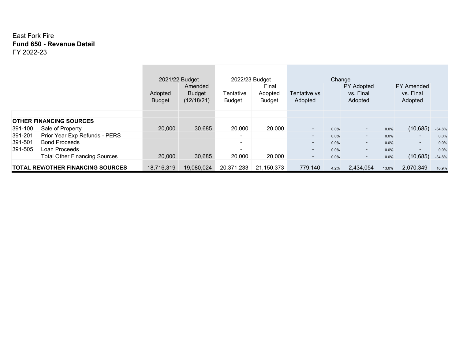#### East Fork Fire **Fund 650 - Revenue Detail** FY 2022-23

|         |                                          |                          | 2021/22 Budget                         | 2022/23 Budget             |                                   |                          | Change |                                           |       |                                           |          |
|---------|------------------------------------------|--------------------------|----------------------------------------|----------------------------|-----------------------------------|--------------------------|--------|-------------------------------------------|-------|-------------------------------------------|----------|
|         |                                          | Adopted<br><b>Budget</b> | Amended<br><b>Budget</b><br>(12/18/21) | Tentative<br><b>Budget</b> | Final<br>Adopted<br><b>Budget</b> | Tentative vs<br>Adopted  |        | <b>PY Adopted</b><br>vs. Final<br>Adopted |       | <b>PY Amended</b><br>vs. Final<br>Adopted |          |
|         |                                          |                          |                                        |                            |                                   |                          |        |                                           |       |                                           |          |
|         |                                          |                          |                                        |                            |                                   |                          |        |                                           |       |                                           |          |
|         | <b>OTHER FINANCING SOURCES</b>           |                          |                                        |                            |                                   |                          |        |                                           |       |                                           |          |
| 391-100 | Sale of Property                         | 20,000                   | 30,685                                 | 20,000                     | 20,000                            | $\overline{\phantom{a}}$ | 0.0%   | $\sim$                                    | 0.0%  | (10, 685)                                 | $-34.8%$ |
| 391-201 | Prior Year Exp Refunds - PERS            |                          |                                        | ۰.                         |                                   | $\overline{\phantom{a}}$ | 0.0%   | $\sim$                                    | 0.0%  | ۰.                                        | 0.0%     |
| 391-501 | <b>Bond Proceeds</b>                     |                          |                                        | ۰.                         |                                   | $\sim$                   | 0.0%   | $\sim$                                    | 0.0%  | ۰.                                        | 0.0%     |
| 391-505 | Loan Proceeds                            |                          |                                        | $\sim$                     |                                   | $\sim$                   | 0.0%   | $\sim$                                    | 0.0%  | $\overline{\phantom{a}}$                  | 0.0%     |
|         | <b>Total Other Financing Sources</b>     | 20,000                   | 30,685                                 | 20,000                     | 20,000                            | $\sim$                   | 0.0%   | $\sim$                                    | 0.0%  | (10, 685)                                 | $-34.8%$ |
|         | <b>TOTAL REV/OTHER FINANCING SOURCES</b> | 18,716,319               | 19,080,024                             | 20,371,233                 | 21,150,373                        | 779,140                  | 4.2%   | 2,434,054                                 | 13.0% | 2,070,349                                 | 10.9%    |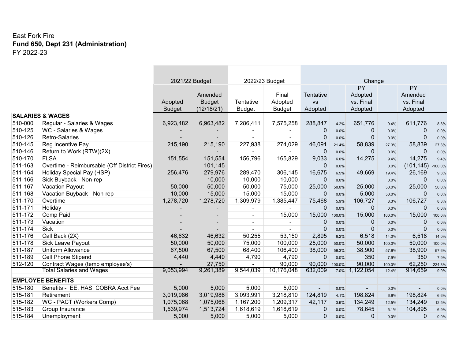### East Fork Fire **Fund 650, Dept 231 (Administration)** FY 2022-23

|             |                                              | 2021/22 Budget |               |                | 2022/23 Budget |              |        | Change      |        |                |           |
|-------------|----------------------------------------------|----------------|---------------|----------------|----------------|--------------|--------|-------------|--------|----------------|-----------|
|             |                                              |                |               |                |                |              |        | PY          |        | PY             |           |
|             |                                              |                | Amended       |                | Final          | Tentative    |        | Adopted     |        | Amended        |           |
|             |                                              | Adopted        | <b>Budget</b> | Tentative      | Adopted        | <b>VS</b>    |        | vs. Final   |        | vs. Final      |           |
|             |                                              | <b>Budget</b>  | (12/18/21)    | <b>Budget</b>  | <b>Budget</b>  | Adopted      |        | Adopted     |        | Adopted        |           |
|             | <b>SALARIES &amp; WAGES</b>                  |                |               |                |                |              |        |             |        |                |           |
| 510-000     | Regular - Salaries & Wages                   | 6,923,482      | 6,963,482     | 7,286,411      | 7,575,258      | 288,847      | 4.2%   | 651,776     | 9.4%   | 611,776        | 8.8%      |
| 510-125     | WC - Salaries & Wages                        |                |               |                | $\sim$         | 0            | 0.0%   | 0           | 0.0%   | 0              | 0.0%      |
| 510-126     | Retro-Salaries                               |                |               | $\blacksquare$ |                | 0            | 0.0%   | 0           | 0.0%   | 0              | 0.0%      |
| 510-145     | Reg Incentive Pay                            | 215,190        | 215,190       | 227,938        | 274,029        | 46,091       | 21.4%  | 58,839      | 27.3%  | 58,839         | 27.3%     |
| 510-146     | Return to Work (RTW)(2X)                     |                |               |                |                | $\mathbf{0}$ | 0.0%   | $\mathbf 0$ | 0.0%   | 0              | 0.0%      |
| 510-170     | <b>FLSA</b>                                  | 151,554        | 151,554       | 156,796        | 165,829        | 9,033        | 6.0%   | 14,275      | 9.4%   | 14,275         | 9.4%      |
| 511-163     | Overtime - Reimbursable (Off District Fires) |                | 101,145       |                |                | $\Omega$     | 0.0%   |             | 0.0%   | (101, 145)     | $-100.0%$ |
| 511-164     | Holiday Special Pay (HSP)                    | 256,476        | 279,976       | 289,470        | 306,145        | 16,675       | 6.5%   | 49,669      | 19.4%  | 26,169         | 9.3%      |
| 511-166     | Sick Buyback - Non-rep                       |                | 10,000        | 10,000         | 10,000         | 0            | 0.0%   |             | 0.0%   | 0              | 0.0%      |
| 511-167     | <b>Vacation Payout</b>                       | 50,000         | 50,000        | 50,000         | 75,000         | 25,000       | 50.0%  | 25,000      | 50.0%  | 25,000         | 50.0%     |
| 511-168     | Vacation Buyback - Non-rep                   | 10,000         | 15,000        | 15,000         | 15,000         | $\Omega$     | 0.0%   | 5,000       | 50.0%  | 0              | 0.0%      |
| 511-170     | Overtime                                     | 1,278,720      | 1,278,720     | 1,309,979      | 1,385,447      | 75,468       | 5.9%   | 106,727     | 8.3%   | 106,727        | 8.3%      |
| $511 - 171$ | Holiday                                      |                |               | $\blacksquare$ |                | 0            | 0.0%   | 0           | 0.0%   | 0              | 0.0%      |
| 511-172     | Comp Paid                                    |                |               | $\blacksquare$ | 15,000         | 15,000       | 100.0% | 15,000      | 100.0% | 15,000         | 100.0%    |
| $511 - 173$ | Vacation                                     |                |               | $\blacksquare$ | $\blacksquare$ | $\mathbf 0$  | 0.0%   | 0           | 0.0%   | 0              | 0.0%      |
| 511-174     | <b>Sick</b>                                  |                |               |                |                | $\Omega$     | 0.0%   | 0           | 0.0%   | 0              | 0.0%      |
| 511-176     | Call Back (2X)                               | 46,632         | 46,632        | 50,255         | 53,150         | 2,895        | 6.2%   | 6,518       | 14.0%  | 6,518          | 14.0%     |
| 511-178     | Sick Leave Payout                            | 50,000         | 50,000        | 75,000         | 100,000        | 25,000       | 50.0%  | 50,000      | 100.0% | 50,000         | 100.0%    |
| 511-187     | <b>Uniform Allowance</b>                     | 67,500         | 67,500        | 68,400         | 106,400        | 38,000       | 56.3%  | 38,900      | 57.6%  | 38,900         | 57.6%     |
| 511-189     | <b>Cell Phone Stipend</b>                    | 4,440          | 4,440         | 4,790          | 4,790          | $\mathbf{0}$ | 0.0%   | 350         | 7.9%   | 350            | 7.9%      |
| 512-120     | Contract Wages (temp employee's)             |                | 27,750        | $\blacksquare$ | 90,000         | 90,000       | 100.0% | 90,000      | 100.0% | 62,250         | 224.3%    |
|             | <b>Total Salaries and Wages</b>              | 9,053,994      | 9,261,389     | 9,544,039      | 10,176,048     | 632,009      | 7.0%   | ,122,054    | 12.4%  | 914,659        | 9.9%      |
|             | <b>EMPLOYEE BENEFITS</b>                     |                |               |                |                |              |        |             |        |                |           |
| 515-180     | Benefits - EE, HAS, COBRA Acct Fee           | 5,000          | 5,000         | 5,000          | 5,000          | ۰.           | 0.0%   |             | 0.0%   | $\blacksquare$ | 0.0%      |
| 515-181     | Retirement                                   | 3,019,986      | 3,019,986     | 3,093,991      | 3,218,810      | 124,819      | 4.1%   | 198,824     | 6.6%   | 198,824        | 6.6%      |
| 515-182     | WC - PACT (Workers Comp)                     | 1,075,068      | 1,075,068     | 1,167,200      | 1,209,317      | 42,117       | 3.9%   | 134,249     | 12.5%  | 134,249        | 12.5%     |
| 515-183     | Group Insurance                              | 1,539,974      | 1,513,724     | 1,618,619      | 1,618,619      | $\mathbf{0}$ | 0.0%   | 78,645      | 5.1%   | 104,895        | 6.9%      |
| 515-184     | Unemployment                                 | 5,000          | 5,000         | 5,000          | 5,000          | 0            | 0.0%   | 0           | 0.0%   | 0              | 0.0%      |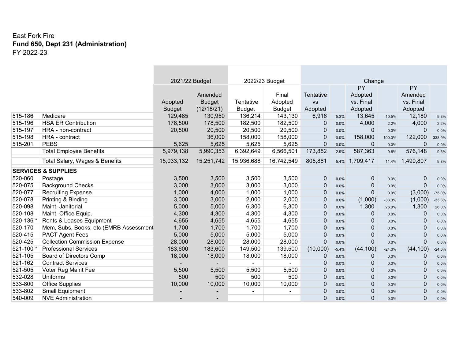### East Fork Fire **Fund 650, Dept 231 (Administration)** FY 2022-23

|         |                                        | 2021/22 Budget |               |                | 2022/23 Budget |              |         | Change       |          |              |          |
|---------|----------------------------------------|----------------|---------------|----------------|----------------|--------------|---------|--------------|----------|--------------|----------|
|         |                                        |                |               |                |                |              |         | PY           |          | PY           |          |
|         |                                        |                | Amended       |                | Final          | Tentative    |         | Adopted      |          | Amended      |          |
|         |                                        | Adopted        | <b>Budget</b> | Tentative      | Adopted        | <b>VS</b>    |         | vs. Final    |          | vs. Final    |          |
|         |                                        | <b>Budget</b>  | (12/18/21)    | <b>Budget</b>  | <b>Budget</b>  | Adopted      |         | Adopted      |          | Adopted      |          |
| 515-186 | Medicare                               | 129,485        | 130,950       | 136,214        | 143,130        | 6,916        | 5.3%    | 13,645       | 10.5%    | 12,180       | 9.3%     |
| 515-196 | <b>HSA ER Contribution</b>             | 178,500        | 178,500       | 182,500        | 182,500        | $\mathbf 0$  | 0.0%    | 4,000        | 2.2%     | 4,000        | 2.2%     |
| 515-197 | HRA - non-contract                     | 20,500         | 20,500        | 20,500         | 20,500         | 0            | 0.0%    | $\Omega$     | 0.0%     | $\mathbf 0$  | 0.0%     |
| 515-198 | HRA - contract                         |                | 36,000        | 158,000        | 158,000        | $\Omega$     | 0.0%    | 158,000      | 100.0%   | 122,000      | 338.9%   |
| 515-201 | <b>PEBS</b>                            | 5,625          | 5,625         | 5,625          | 5,625          | $\mathbf{0}$ | 0.0%    | 0            | 0.0%     | 0            | 0.0%     |
|         | <b>Total Employee Benefits</b>         | 5,979,138      | 5,990,353     | 6,392,649      | 6,566,501      | 173,852      | 2.9%    | 587,363      | 9.8%     | 576,148      | 9.6%     |
|         | Total Salary, Wages & Benefits         | 15,033,132     | 15,251,742    | 15,936,688     | 16,742,549     | 805,861      | 5.4%    | 1,709,417    | 11.4%    | 1,490,807    | 9.8%     |
|         | <b>SERVICES &amp; SUPPLIES</b>         |                |               |                |                |              |         |              |          |              |          |
| 520-060 | Postage                                | 3,500          | 3,500         | 3,500          | 3,500          | $\mathbf{0}$ | 0.0%    | 0            | 0.0%     | $\mathbf{0}$ | 0.0%     |
| 520-075 | <b>Background Checks</b>               | 3,000          | 3,000         | 3,000          | 3,000          | $\Omega$     | 0.0%    | 0            | 0.0%     | 0            | 0.0%     |
| 520-077 | <b>Recruiting Expense</b>              | 1,000          | 4,000         | 1,000          | 1,000          | 0            | 0.0%    | $\mathbf{0}$ | 0.0%     | (3,000)      | $-75.0%$ |
| 520-078 | Printing & Binding                     | 3,000          | 3,000         | 2,000          | 2,000          | $\mathbf{0}$ | 0.0%    | (1,000)      | $-33.3%$ | (1,000)      | $-33.3%$ |
| 520-098 | Maint. Janitorial                      | 5,000          | 5,000         | 6,300          | 6,300          | $\Omega$     | 0.0%    | 1,300        | 26.0%    | 1,300        | 26.0%    |
| 520-108 | Maint. Office Equip.                   | 4,300          | 4,300         | 4,300          | 4,300          | 0            | 0.0%    | $\mathbf{0}$ | 0.0%     | 0            | 0.0%     |
| 520-136 | Rents & Leases Equipment               | 4,655          | 4,655         | 4,655          | 4,655          | 0            | 0.0%    | $\mathbf{0}$ | 0.0%     | $\Omega$     | 0.0%     |
| 520-170 | Mem, Subs, Books, etc (EMRB Assessment | 1,700          | 1,700         | 1,700          | 1,700          | $\Omega$     | 0.0%    | $\mathbf{0}$ | 0.0%     | $\mathbf{0}$ | 0.0%     |
| 520-415 | <b>PACT Agent Fees</b>                 | 5,000          | 5,000         | 5,000          | 5,000          | 0            | 0.0%    | 0            | 0.0%     | 0            | 0.0%     |
| 520-425 | <b>Collection Commission Expense</b>   | 28,000         | 28,000        | 28,000         | 28,000         | $\Omega$     | 0.0%    | $\Omega$     | 0.0%     | 0            | 0.0%     |
| 521-100 | <b>Professional Services</b>           | 183,600        | 183,600       | 149,500        | 139,500        | (10,000)     | $-5.4%$ | (44, 100)    | $-24.0%$ | (44, 100)    | $-24.0%$ |
| 521-105 | <b>Board of Directors Comp</b>         | 18,000         | 18,000        | 18,000         | 18,000         | $\Omega$     | 0.0%    | $\mathbf{0}$ | 0.0%     | 0            | 0.0%     |
| 521-162 | <b>Contract Services</b>               |                |               | $\blacksquare$ |                | 0            | 0.0%    | 0            | 0.0%     | 0            | 0.0%     |
| 521-505 | Voter Reg Maint Fee                    | 5,500          | 5,500         | 5,500          | 5,500          | 0            | 0.0%    | 0            | 0.0%     | 0            | 0.0%     |
| 532-028 | <b>Uniforms</b>                        | 500            | 500           | 500            | 500            | 0            | 0.0%    | 0            | 0.0%     | $\Omega$     | 0.0%     |
| 533-800 | <b>Office Supplies</b>                 | 10,000         | 10,000        | 10,000         | 10,000         | 0            | $0.0\%$ | 0            | 0.0%     | $\Omega$     | 0.0%     |
| 533-802 | <b>Small Equipment</b>                 |                |               | $\blacksquare$ |                | 0            | 0.0%    | 0            | 0.0%     | 0            | 0.0%     |
| 540-009 | <b>NVE Administration</b>              |                |               |                |                | 0            | 0.0%    | $\Omega$     | 0.0%     | 0            | 0.0%     |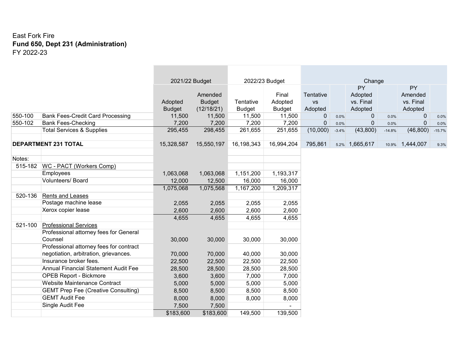### East Fork Fire **Fund 650, Dept 231 (Administration)** FY 2022-23

|         |                                             | 2021/22 Budget |               |               | 2022/23 Budget |              |         | Change         |          |             |          |
|---------|---------------------------------------------|----------------|---------------|---------------|----------------|--------------|---------|----------------|----------|-------------|----------|
|         |                                             |                |               |               |                |              |         | PY             |          | <b>PY</b>   |          |
|         |                                             |                | Amended       |               | Final          | Tentative    |         | Adopted        |          | Amended     |          |
|         |                                             | Adopted        | <b>Budget</b> | Tentative     | Adopted        | <b>VS</b>    |         | vs. Final      |          | vs. Final   |          |
|         |                                             | <b>Budget</b>  | (12/18/21)    | <b>Budget</b> | <b>Budget</b>  | Adopted      |         | Adopted        |          | Adopted     |          |
| 550-100 | <b>Bank Fees-Credit Card Processing</b>     | 11,500         | 11,500        | 11,500        | 11,500         | $\mathbf{0}$ | 0.0%    | $\mathbf{0}$   | 0.0%     | $\mathbf 0$ | 0.0%     |
| 550-102 | <b>Bank Fees-Checking</b>                   | 7,200          | 7,200         | 7,200         | 7,200          | $\Omega$     | 0.0%    | $\Omega$       | 0.0%     | 0           | 0.0%     |
|         | <b>Total Services &amp; Supplies</b>        | 295,455        | 298,455       | 261,655       | 251,655        | (10,000)     | $-3.4%$ | (43,800)       | $-14.8%$ | (46, 800)   | $-15.7%$ |
|         |                                             |                |               |               |                |              |         |                |          |             |          |
|         | <b>DEPARTMENT 231 TOTAL</b>                 | 15,328,587     | 15,550,197    | 16,198,343    | 16,994,204     | 795,861      |         | 5.2% 1,665,617 | 10.9%    | 1,444,007   | 9.3%     |
| Notes:  |                                             |                |               |               |                |              |         |                |          |             |          |
|         | 515-182   WC - PACT (Workers Comp)          |                |               |               |                |              |         |                |          |             |          |
|         | Employees                                   | 1,063,068      | 1,063,068     | 1,151,200     | 1,193,317      |              |         |                |          |             |          |
|         | Volunteers/ Board                           | 12,000         | 12,500        | 16,000        | 16,000         |              |         |                |          |             |          |
|         |                                             | 1,075,068      | 1,075,568     | 1,167,200     | 1,209,317      |              |         |                |          |             |          |
| 520-136 | <b>Rents and Leases</b>                     |                |               |               |                |              |         |                |          |             |          |
|         | Postage machine lease                       | 2,055          | 2,055         | 2,055         | 2,055          |              |         |                |          |             |          |
|         | Xerox copier lease                          | 2,600          | 2,600         | 2,600         | 2,600          |              |         |                |          |             |          |
|         |                                             | 4,655          | 4,655         | 4,655         | 4,655          |              |         |                |          |             |          |
| 521-100 | <b>Professional Services</b>                |                |               |               |                |              |         |                |          |             |          |
|         | Professional attorney fees for General      |                |               |               |                |              |         |                |          |             |          |
|         | Counsel                                     | 30,000         | 30,000        | 30,000        | 30,000         |              |         |                |          |             |          |
|         | Professional attorney fees for contract     |                |               |               |                |              |         |                |          |             |          |
|         | negotiation, arbitration, grievances.       | 70,000         | 70,000        | 40,000        | 30,000         |              |         |                |          |             |          |
|         | Insurance broker fees.                      | 22,500         | 22,500        | 22,500        | 22,500         |              |         |                |          |             |          |
|         | <b>Annual Financial Statement Audit Fee</b> | 28,500         | 28,500        | 28,500        | 28,500         |              |         |                |          |             |          |
|         | <b>OPEB Report - Bickmore</b>               | 3,600          | 3,600         | 7,000         | 7,000          |              |         |                |          |             |          |
|         | Website Maintenance Contract                | 5,000          | 5,000         | 5,000         | 5,000          |              |         |                |          |             |          |
|         | <b>GEMT Prep Fee (Creative Consulting)</b>  | 8,500          | 8,500         | 8,500         | 8,500          |              |         |                |          |             |          |
|         | <b>GEMT Audit Fee</b>                       | 8,000          | 8,000         | 8,000         | 8,000          |              |         |                |          |             |          |
|         | Single Audit Fee                            | 7,500          | 7,500         |               |                |              |         |                |          |             |          |
|         |                                             | \$183,600      | \$183,600     | 149,500       | 139,500        |              |         |                |          |             |          |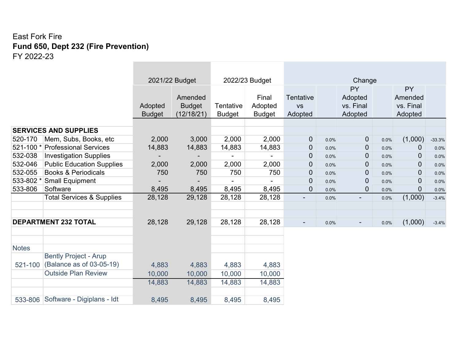# East Fork Fire **Fund 650, Dept 232 (Fire Prevention)** FY 2022-23

|              |                                      |               | 2021/22 Budget |               | 2022/23 Budget           |                  |      | Change                   |         |                |          |
|--------------|--------------------------------------|---------------|----------------|---------------|--------------------------|------------------|------|--------------------------|---------|----------------|----------|
|              |                                      |               |                |               |                          |                  |      | PY                       |         | PY             |          |
|              |                                      |               | Amended        |               | Final                    | <b>Tentative</b> |      | Adopted                  |         | Amended        |          |
|              |                                      | Adopted       | <b>Budget</b>  | Tentative     | Adopted                  | <b>VS</b>        |      | vs. Final                |         | vs. Final      |          |
|              |                                      | <b>Budget</b> | (12/18/21)     | <b>Budget</b> | <b>Budget</b>            | Adopted          |      | Adopted                  |         | Adopted        |          |
|              |                                      |               |                |               |                          |                  |      |                          |         |                |          |
|              | <b>SERVICES AND SUPPLIES</b>         |               |                |               |                          |                  |      |                          |         |                |          |
| 520-170      | Mem, Subs, Books, etc                | 2,000         | 3,000          | 2,000         | 2,000                    | $\mathbf 0$      | 0.0% | $\overline{0}$           | 0.0%    | (1,000)        | $-33.3%$ |
| 521-100 *    | <b>Professional Services</b>         | 14,883        | 14,883         | 14,883        | 14,883                   | $\mathbf 0$      | 0.0% | $\overline{0}$           | 0.0%    | 0              | 0.0%     |
| 532-038      | <b>Investigation Supplies</b>        |               |                |               | $\overline{\phantom{0}}$ | 0                | 0.0% | 0                        | $0.0\%$ | 0              | 0.0%     |
| 532-046      | <b>Public Education Supplies</b>     | 2,000         | 2,000          | 2,000         | 2,000                    | $\overline{0}$   | 0.0% | 0                        | $0.0\%$ | $\overline{0}$ | 0.0%     |
| 532-055      | <b>Books &amp; Periodicals</b>       | 750           | 750            | 750           | 750                      | 0                | 0.0% | 0                        | 0.0%    | 0              | 0.0%     |
| 533-802 *    | <b>Small Equipment</b>               |               |                |               | -                        | $\overline{0}$   | 0.0% | 0                        | 0.0%    | 0              | 0.0%     |
| 533-806      | Software                             | 8,495         | 8,495          | 8,495         | 8,495                    | $\overline{0}$   | 0.0% | 0                        | 0.0%    | $\overline{0}$ | 0.0%     |
|              | <b>Total Services &amp; Supplies</b> | 28,128        | 29,128         | 28,128        | 28,128                   | $\blacksquare$   | 0.0% | $\overline{\phantom{0}}$ | 0.0%    | (1,000)        | $-3.4%$  |
|              |                                      |               |                |               |                          |                  |      |                          |         |                |          |
|              |                                      |               |                |               |                          |                  |      |                          |         |                |          |
|              | <b>DEPARTMENT 232 TOTAL</b>          | 28,128        | 29,128         | 28,128        | 28,128                   | $\blacksquare$   | 0.0% |                          | 0.0%    | (1,000)        | $-3.4%$  |
|              |                                      |               |                |               |                          |                  |      |                          |         |                |          |
|              |                                      |               |                |               |                          |                  |      |                          |         |                |          |
| <b>Notes</b> |                                      |               |                |               |                          |                  |      |                          |         |                |          |
|              | <b>Bently Project - Arup</b>         |               |                |               |                          |                  |      |                          |         |                |          |
| 521-100      | (Balance as of 03-05-19)             | 4,883         | 4,883          | 4,883         | 4,883                    |                  |      |                          |         |                |          |
|              | <b>Outside Plan Review</b>           | 10,000        | 10,000         | 10,000        | 10,000                   |                  |      |                          |         |                |          |
|              |                                      | 14,883        | 14,883         | 14,883        | 14,883                   |                  |      |                          |         |                |          |
|              |                                      |               |                |               |                          |                  |      |                          |         |                |          |
| 533-806      | Software - Digiplans - Idt           | 8,495         | 8,495          | 8,495         | 8,495                    |                  |      |                          |         |                |          |

the control of the control of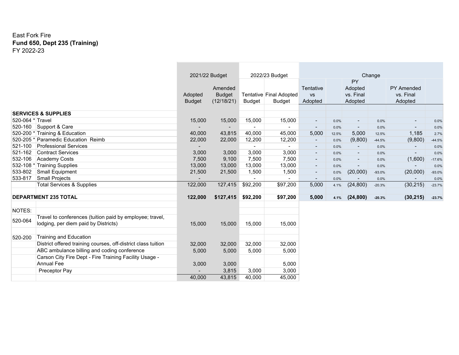#### East Fork Fire **Fund 650, Dept 235 (Training)** FY 2022-23

|                  |                                                                                                  | 2021/22 Budget           |                                        |                | 2022/23 Budget                           |                                   |       |                                       | Change   |                                           |          |
|------------------|--------------------------------------------------------------------------------------------------|--------------------------|----------------------------------------|----------------|------------------------------------------|-----------------------------------|-------|---------------------------------------|----------|-------------------------------------------|----------|
|                  |                                                                                                  | Adopted<br><b>Budget</b> | Amended<br><b>Budget</b><br>(12/18/21) | <b>Budget</b>  | Tentative Final Adopted<br><b>Budget</b> | Tentative<br><b>VS</b><br>Adopted |       | PY<br>Adopted<br>vs. Final<br>Adopted |          | <b>PY Amended</b><br>vs. Final<br>Adopted |          |
|                  | <b>SERVICES &amp; SUPPLIES</b>                                                                   |                          |                                        |                |                                          |                                   |       |                                       |          |                                           |          |
| 520-064 * Travel |                                                                                                  | 15,000                   | 15,000                                 | 15,000         | 15,000                                   | $\blacksquare$                    | 0.0%  | $\overline{\phantom{a}}$              | 0.0%     | $\sim$                                    | 0.0%     |
| 520-160          | Support & Care                                                                                   |                          |                                        |                |                                          | $\overline{\phantom{a}}$          | 0.0%  | $\overline{\phantom{a}}$              | 0.0%     | $\sim$                                    | 0.0%     |
| 520-200 *        | Training & Education                                                                             | 40,000                   | 43,815                                 | 40,000         | 45,000                                   | 5,000                             | 12.5% | 5,000                                 | 12.5%    | 1,185                                     | 2.7%     |
| 520-205 *        | Paramedic Education Reimb                                                                        | 22,000                   | 22,000                                 | 12,200         | 12,200                                   | $\overline{\phantom{a}}$          | 0.0%  | (9,800)                               | $-44.5%$ | (9,800)                                   | $-44.5%$ |
| 521-100          | <b>Professional Services</b>                                                                     |                          |                                        | $\blacksquare$ | $\blacksquare$                           | $\overline{\phantom{a}}$          | 0.0%  |                                       | 0.0%     |                                           | 0.0%     |
| 521-162          | <b>Contract Services</b>                                                                         | 3,000                    | 3,000                                  | 3,000          | 3,000                                    | $\overline{\phantom{a}}$          | 0.0%  | $\blacksquare$                        | 0.0%     | $\sim$                                    | 0.0%     |
| 532-106          | <b>Academy Costs</b>                                                                             | 7,500                    | 9,100                                  | 7,500          | 7,500                                    | $\blacksquare$                    | 0.0%  | $\overline{\phantom{a}}$              | 0.0%     | (1,600)                                   | $-17.6%$ |
| 532-108 *        | <b>Training Supplies</b>                                                                         | 13,000                   | 13,000                                 | 13,000         | 13,000                                   | $\overline{\phantom{a}}$          | 0.0%  |                                       | 0.0%     |                                           | 0.0%     |
| 533-802          | <b>Small Equipment</b>                                                                           | 21,500                   | 21,500                                 | 1,500          | 1,500                                    | $\blacksquare$                    | 0.0%  | (20,000)                              | $-93.0%$ | (20,000)                                  | $-93.0%$ |
| 533-817          | <b>Small Projects</b>                                                                            |                          |                                        |                |                                          | $\overline{\phantom{a}}$          | 0.0%  |                                       | 0.0%     |                                           | 0.0%     |
|                  | <b>Total Services &amp; Supplies</b>                                                             | 122,000                  | 127,415                                | \$92,200       | \$97,200                                 | 5,000                             | 4.1%  | (24, 800)                             | $-20.3%$ | (30, 215)                                 | $-23.7%$ |
|                  | <b>DEPARTMENT 235 TOTAL</b>                                                                      | 122,000                  | \$127,415                              | \$92,200       | \$97,200                                 | 5,000                             | 4.1%  | (24, 800)                             | $-20.3%$ | (30, 215)                                 | $-23.7%$ |
| NOTES:           |                                                                                                  |                          |                                        |                |                                          |                                   |       |                                       |          |                                           |          |
| 520-064          | Travel to conferences (tuition paid by employee; travel,<br>lodging, per diem paid by Districts) | 15,000                   | 15,000                                 | 15,000         | 15,000                                   |                                   |       |                                       |          |                                           |          |
| 520-200          | <b>Training and Education</b>                                                                    |                          |                                        |                |                                          |                                   |       |                                       |          |                                           |          |
|                  | District offered training courses, off-district class tuition                                    | 32,000                   | 32,000                                 | 32,000         | 32,000                                   |                                   |       |                                       |          |                                           |          |
|                  | ABC ambulance billing and coding conference                                                      | 5,000                    | 5,000                                  | 5,000          | 5,000                                    |                                   |       |                                       |          |                                           |          |
|                  | Carson City Fire Dept - Fire Training Facility Usage -                                           |                          |                                        |                |                                          |                                   |       |                                       |          |                                           |          |
|                  | <b>Annual Fee</b>                                                                                | 3,000                    | 3,000                                  |                | 5,000                                    |                                   |       |                                       |          |                                           |          |
|                  | Preceptor Pay                                                                                    |                          | 3,815                                  | 3,000          | 3,000                                    |                                   |       |                                       |          |                                           |          |
|                  |                                                                                                  | 40,000                   | 43,815                                 | 40,000         | 45,000                                   |                                   |       |                                       |          |                                           |          |

\_\_\_\_\_\_\_\_\_

٠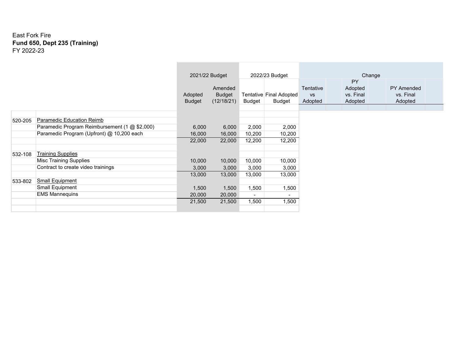#### East Fork Fire **Fund 650, Dept 235 (Training)** FY 2022-23

|         |                                               |                   |                                        |                |                                   | Change                            |                                       |                                           |
|---------|-----------------------------------------------|-------------------|----------------------------------------|----------------|-----------------------------------|-----------------------------------|---------------------------------------|-------------------------------------------|
|         |                                               |                   | 2021/22 Budget                         |                | 2022/23 Budget                    |                                   |                                       |                                           |
|         |                                               | Adopted<br>Budget | Amended<br><b>Budget</b><br>(12/18/21) | Budget         | Tentative Final Adopted<br>Budget | Tentative<br><b>VS</b><br>Adopted | PY<br>Adopted<br>vs. Final<br>Adopted | <b>PY Amended</b><br>vs. Final<br>Adopted |
|         |                                               |                   |                                        |                |                                   |                                   |                                       |                                           |
| 520-205 | Paramedic Education Reimb                     |                   |                                        |                |                                   |                                   |                                       |                                           |
|         | Paramedic Program Reimbursement (1 @ \$2,000) | 6,000             | 6,000                                  | 2,000          | 2,000                             |                                   |                                       |                                           |
|         | Paramedic Program (Upfront) @ 10,200 each     | 16,000            | 16,000                                 | 10,200         | 10,200                            |                                   |                                       |                                           |
|         |                                               | 22,000            | 22,000                                 | 12,200         | 12,200                            |                                   |                                       |                                           |
|         |                                               |                   |                                        |                |                                   |                                   |                                       |                                           |
| 532-108 | <b>Training Supplies</b>                      |                   |                                        |                |                                   |                                   |                                       |                                           |
|         | <b>Misc Training Supplies</b>                 | 10,000            | 10,000                                 | 10,000         | 10,000                            |                                   |                                       |                                           |
|         | Contract to create video trainings            | 3,000             | 3,000                                  | 3,000          | 3,000                             |                                   |                                       |                                           |
|         |                                               | 13,000            | 13,000                                 | 13,000         | 13,000                            |                                   |                                       |                                           |
| 533-802 | <b>Small Equipment</b>                        |                   |                                        |                |                                   |                                   |                                       |                                           |
|         | Small Equipment                               | 1,500             | 1,500                                  | 1,500          | 1,500                             |                                   |                                       |                                           |
|         | <b>EMS Mannequins</b>                         | 20,000            | 20,000                                 | $\blacksquare$ | $\overline{\phantom{0}}$          |                                   |                                       |                                           |
|         |                                               | 21,500            | 21,500                                 | 1,500          | 1,500                             |                                   |                                       |                                           |
|         |                                               |                   |                                        |                |                                   |                                   |                                       |                                           |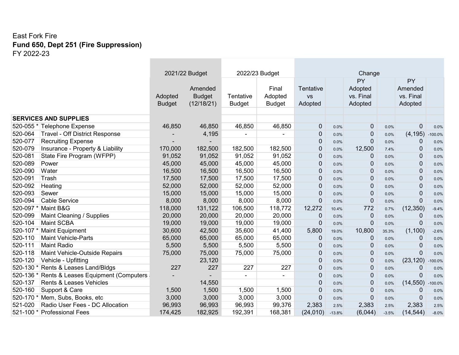**COL** 

the control of the control of the

|           |                                       | 2021/22 Budget |                          |                | 2022/23 Budget           | Change                 |          |                      |         |                      |           |  |
|-----------|---------------------------------------|----------------|--------------------------|----------------|--------------------------|------------------------|----------|----------------------|---------|----------------------|-----------|--|
|           |                                       |                |                          |                |                          |                        |          | <b>PY</b>            |         | <b>PY</b><br>Amended |           |  |
|           |                                       | Adopted        | Amended<br><b>Budget</b> | Tentative      | Final<br>Adopted         | Tentative<br><b>VS</b> |          | Adopted<br>vs. Final |         | vs. Final            |           |  |
|           |                                       | <b>Budget</b>  | (12/18/21)               | <b>Budget</b>  | <b>Budget</b>            | Adopted                |          | Adopted              |         | Adopted              |           |  |
|           |                                       |                |                          |                |                          |                        |          |                      |         |                      |           |  |
|           | <b>SERVICES AND SUPPLIES</b>          |                |                          |                |                          |                        |          |                      |         |                      |           |  |
|           | 520-055 * Telephone Expense           | 46,850         | 46,850                   | 46,850         | 46,850                   | $\mathbf 0$            | 0.0%     | 0                    | 0.0%    | 0                    | 0.0%      |  |
| 520-064   | <b>Travel - Off District Response</b> |                | 4,195                    |                |                          | $\mathbf 0$            | 0.0%     | 0                    | 0.0%    | (4, 195)             | $-100.0%$ |  |
| 520-077   | <b>Recruiting Expense</b>             |                |                          |                |                          | $\mathbf 0$            | 0.0%     | $\pmb{0}$            | 0.0%    | 0                    | 0.0%      |  |
| 520-079   | Insurance - Property & Liability      | 170,000        | 182,500                  | 182,500        | 182,500                  | 0                      | 0.0%     | 12,500               | 7.4%    | 0                    | 0.0%      |  |
| 520-081   | State Fire Program (WFPP)             | 91,052         | 91,052                   | 91,052         | 91,052                   | $\mathbf 0$            | 0.0%     | 0                    | 0.0%    | 0                    | 0.0%      |  |
| 520-089   | Power                                 | 45,000         | 45,000                   | 45,000         | 45,000                   | $\mathbf 0$            | 0.0%     | 0                    | 0.0%    | 0                    | 0.0%      |  |
| 520-090   | Water                                 | 16,500         | 16,500                   | 16,500         | 16,500                   | 0                      | 0.0%     | $\pmb{0}$            | 0.0%    | $\mathbf 0$          | 0.0%      |  |
| 520-091   | Trash                                 | 17,500         | 17,500                   | 17,500         | 17,500                   | 0                      | 0.0%     | $\mathbf 0$          | 0.0%    | 0                    | 0.0%      |  |
| 520-092   | Heating                               | 52,000         | 52,000                   | 52,000         | 52,000                   | 0                      | 0.0%     | $\pmb{0}$            | 0.0%    | 0                    | 0.0%      |  |
| 520-093   | Sewer                                 | 15,000         | 15,000                   | 15,000         | 15,000                   | $\mathbf 0$            | 0.0%     | $\pmb{0}$            | 0.0%    | $\mathbf 0$          | 0.0%      |  |
| 520-094   | <b>Cable Service</b>                  | 8,000          | 8,000                    | 8,000          | 8,000                    | $\mathbf 0$            | 0.0%     | $\pmb{0}$            | 0.0%    | $\overline{0}$       | 0.0%      |  |
| 520-097   | Maint B&G                             | 118,000        | 131,122                  | 106,500        | 118,772                  | 12,272                 | 10.4%    | 772                  | 0.7%    | (12, 350)            | $-9.4%$   |  |
| 520-099   | Maint Cleaning / Supplies             | 20,000         | 20,000                   | 20,000         | 20,000                   | 0                      | 0.0%     | $\mathbf 0$          | 0.0%    | 0                    | 0.0%      |  |
| 520-104   | <b>Maint SCBA</b>                     | 19,000         | 19,000                   | 19,000         | 19,000                   | $\pmb{0}$              | 0.0%     | $\pmb{0}$            | 0.0%    | $\mathbf 0$          | 0.0%      |  |
| 520-107   | <b>Maint Equipment</b>                | 30,600         | 42,500                   | 35,600         | 41,400                   | 5,800                  | 19.0%    | 10,800               | 35.3%   | (1, 100)             | $-2.6%$   |  |
| 520-110   | <b>Maint Vehicle-Parts</b>            | 65,000         | 65,000                   | 65,000         | 65,000                   | 0                      | 0.0%     | $\mathbf 0$          | 0.0%    | $\mathbf 0$          | 0.0%      |  |
| 520-111   | <b>Maint Radio</b>                    | 5,500          | 5,500                    | 5,500          | 5,500                    | 0                      | 0.0%     | $\mathbf 0$          | 0.0%    | $\mathbf 0$          | 0.0%      |  |
| 520-118   | Maint Vehicle-Outside Repairs         | 75,000         | 75,000                   | 75,000         | 75,000                   | 0                      | 0.0%     | $\mathbf 0$          | 0.0%    | $\Omega$             | 0.0%      |  |
| 520-120   | Vehicle - Upfitting                   |                | 23,120                   |                |                          | 0                      | 0.0%     | 0                    | 0.0%    | (23, 120)            | 100.0%    |  |
| 520-130 * | Rents & Leases Land/Bldgs             | 227            | 227                      | 227            | 227                      | 0                      | 0.0%     | $\pmb{0}$            | 0.0%    | 0                    | 0.0%      |  |
| 520-136 * | Rents & Leases Equipment (Computers   |                |                          | $\blacksquare$ | $\overline{\phantom{0}}$ | $\mathbf 0$            | 0.0%     | $\pmb{0}$            | 0.0%    | $\overline{0}$       | 0.0%      |  |
| 520-137   | <b>Rents &amp; Leases Vehicles</b>    |                | 14,550                   |                |                          | 0                      | 0.0%     | $\pmb{0}$            | 0.0%    | (14, 550)            | $-100.0%$ |  |
| 520-160   | Support & Care                        | 1,500          | 1,500                    | 1,500          | 1,500                    | 0                      | 0.0%     | $\mathbf 0$          | 0.0%    | 0                    | 0.0%      |  |
| 520-170 * | Mem, Subs, Books, etc                 | 3,000          | 3,000                    | 3,000          | 3,000                    | $\Omega$               | 0.0%     | $\mathbf 0$          | 0.0%    | $\Omega$             | 0.0%      |  |
| 521-020   | Radio User Fees - DC Allocation       | 96,993         | 96,993                   | 96,993         | 99,376                   | 2,383                  | 2.5%     | 2,383                | 2.5%    | 2,383                | 2.5%      |  |
|           | 521-100 * Professional Fees           | 174,425        | 182,925                  | 192,391        | 168,381                  | (24, 010)              | $-13.8%$ | (6,044)              | $-3.5%$ | (14, 544)            | $-8.0%$   |  |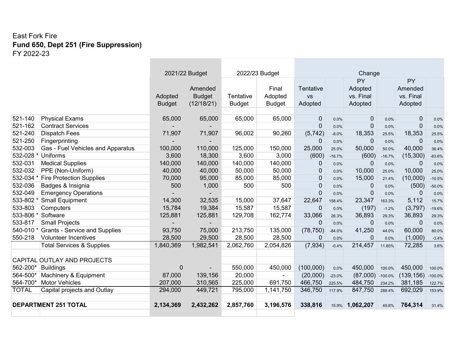|              |                                      | 2022/23 Budget<br>2021/22 Budget |                                        |                            |                                   | Change                            |          |                                              |           |                                       |           |
|--------------|--------------------------------------|----------------------------------|----------------------------------------|----------------------------|-----------------------------------|-----------------------------------|----------|----------------------------------------------|-----------|---------------------------------------|-----------|
|              |                                      | Adopted<br><b>Budget</b>         | Amended<br><b>Budget</b><br>(12/18/21) | Tentative<br><b>Budget</b> | Final<br>Adopted<br><b>Budget</b> | Tentative<br><b>VS</b><br>Adopted |          | <b>PY</b><br>Adopted<br>vs. Final<br>Adopted |           | PY<br>Amended<br>vs. Final<br>Adopted |           |
| 521-140      | <b>Physical Exams</b>                | 65,000                           | 65,000                                 | 65,000                     | 65,000                            | $\mathbf{0}$                      | 0.0%     | $\overline{0}$                               | 0.0%      | $\mathbf{0}$                          | 0.0%      |
| 521-162      | <b>Contract Services</b>             |                                  |                                        |                            |                                   | $\mathbf 0$                       | 0.0%     | $\mathbf 0$                                  | 0.0%      | $\mathbf 0$                           | 0.0%      |
| 521-240      | <b>Dispatch Fees</b>                 | 71,907                           | 71,907                                 | 96,002                     | 90,260                            | (5, 742)                          | $-8.0%$  | 18,353                                       | 25.5%     | 18,353                                | 25.5%     |
| 521-250      | Fingerprinting                       |                                  |                                        |                            |                                   | $\Omega$                          | 0.0%     | $\mathbf 0$                                  | 0.0%      | $\overline{0}$                        | 0.0%      |
| 532-003      | Gas - Fuel Vehicles and Apparatus    | 100,000                          | 110,000                                | 125,000                    | 150,000                           | 25,000                            | 25.0%    | 50,000                                       | 50.0%     | 40,000                                | 36.4%     |
| 532-028 *    | <b>Uniforms</b>                      | 3,600                            | 18,300                                 | 3,600                      | 3,000                             | (600)                             | $-16.7%$ | (600)                                        | $-16.7%$  | (15,300)                              | $-83.6%$  |
| 532-031      | <b>Medical Supplies</b>              | 140,000                          | 140,000                                | 140,000                    | 140,000                           | $\mathbf{0}$                      | 0.0%     | $\mathbf 0$                                  | 0.0%      | 0                                     | 0.0%      |
| 532-032      | PPE (Non-Uniform)                    | 40,000                           | 40,000                                 | 50,000                     | 50,000                            | $\mathbf 0$                       | 0.0%     | 10,000                                       | 25.0%     | 10,000                                | 25.0%     |
| 532-034      | <b>Fire Protection Supplies</b>      | 70,000                           | 95,000                                 | 85,000                     | 85,000                            | $\mathbf 0$                       | 0.0%     | 15,000                                       | 21.4%     | (10,000)                              | $-10.5%$  |
| 532-036      | Badges & Insignia                    | 500                              | 1,000                                  | 500                        | 500                               | $\overline{0}$                    | 0.0%     | 0                                            | 0.0%      | (500)                                 | $-50.0%$  |
| 532-049      | <b>Emergency Operations</b>          |                                  |                                        |                            |                                   | $\mathbf 0$                       | 0.0%     | $\mathbf 0$                                  | 0.0%      | 0                                     | 0.0%      |
| 533-802      | <b>Small Equipment</b>               | 14,300                           | 32,535                                 | 15,000                     | 37,647                            | 22,647                            | 158.4%   | 23,347                                       | 163.3%    | 5,112                                 | 15.7%     |
| 533-803      | Computers                            | 15,784                           | 19,384                                 | 15,587                     | 15,587                            | $\mathbf 0$                       | 0.0%     | (197)                                        | $-1.2%$   | (3,797)                               | $-19.6%$  |
| 533-806 *    | Software                             | 125,881                          | 125,881                                | 129,708                    | 162,774                           | 33,066                            | 26.3%    | 36,893                                       | 29.3%     | 36,893                                | 29.3%     |
| 533-817      | <b>Small Projects</b>                |                                  |                                        |                            |                                   | $\Omega$                          | 0.0%     | 0                                            | 0.0%      | $\overline{0}$                        | 0.0%      |
| 540-010 *    | <b>Grants - Service and Supplies</b> | 93,750                           | 75,000                                 | 213,750                    | 135,000                           | (78, 750)                         | $-84.0%$ | 41,250                                       | 44.0%     | 60,000                                | 80.0%     |
| 550-218      | <b>Volunteer Incentives</b>          | 28,500                           | 29,500                                 | 28,500                     | 28,500                            | $\mathbf 0$                       | 0.0%     | $\mathbf 0$                                  | 0.0%      | (1,000)                               | $-3.4%$   |
|              | <b>Total Services &amp; Supplies</b> | 1,840,369                        | 1,982,541                              | 2,062,760                  | 2,054,826                         | (7, 934)                          | $-0.4%$  | 214,457                                      | 11.65%    | 72,285                                | 3.6%      |
|              | CAPITAL OUTLAY AND PROJECTS          |                                  |                                        |                            |                                   |                                   |          |                                              |           |                                       |           |
| 562-200*     | Buildings                            | $\overline{0}$                   |                                        | 550,000                    | 450,000                           | (100,000)                         | 0.0%     | 450,000                                      | 100.0%    | 450,000                               | 100.0%    |
| 564-500*     | Machinery & Equipment                | 87,000                           | 139,156                                | 20,000                     |                                   | (20,000)                          | $-23.0%$ | (87,000)                                     | $-100.0%$ | (139, 156)                            | $-100.0%$ |
| 564-700*     | Motor Vehicles                       | 207,000                          | 310,565                                | 225,000                    | 691,750                           | 466,750                           | 225.5%   | 484,750                                      | 234.2%    | 381,185                               | 122.7%    |
| <b>TOTAL</b> | Capital projects and Outlay          | 294,000                          | 449,721                                | 795,000                    | 1,141,750                         | 346,750                           | 117.9%   | 847,750                                      | 288.4%    | 692,029                               | 153.9%    |
|              | <b>DEPARTMENT 251 TOTAL</b>          | 2,134,369                        | 2,432,262                              | 2,857,760                  | 3,196,576                         | 338,816                           | 15.9%    | 1,062,207                                    | 49.8%     | 764,314                               | 31.4%     |

**Contract Contract Contract**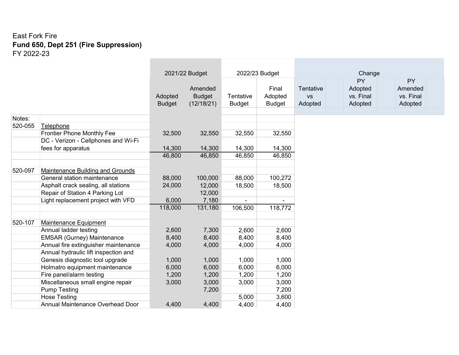|         |                                      |               | 2021/22 Budget           |               | 2022/23 Budget   |                        | Change               |                      |
|---------|--------------------------------------|---------------|--------------------------|---------------|------------------|------------------------|----------------------|----------------------|
|         |                                      |               |                          |               |                  |                        | <b>PY</b>            | <b>PY</b>            |
|         |                                      | Adopted       | Amended<br><b>Budget</b> | Tentative     | Final<br>Adopted | Tentative<br><b>VS</b> | Adopted<br>vs. Final | Amended<br>vs. Final |
|         |                                      | <b>Budget</b> | (12/18/21)               | <b>Budget</b> | <b>Budget</b>    | Adopted                | Adopted              | Adopted              |
|         |                                      |               |                          |               |                  |                        |                      |                      |
| Notes:  |                                      |               |                          |               |                  |                        |                      |                      |
| 520-055 | Telephone                            |               |                          |               |                  |                        |                      |                      |
|         | Frontier Phone Monthly Fee           | 32,500        | 32,550                   | 32,550        | 32,550           |                        |                      |                      |
|         | DC - Verizon - Cellphones and Wi-Fi  |               |                          |               |                  |                        |                      |                      |
|         | fees for apparatus                   | 14,300        | 14,300                   | 14,300        | 14,300           |                        |                      |                      |
|         |                                      | 46,800        | 46,850                   | 46,850        | 46,850           |                        |                      |                      |
|         |                                      |               |                          |               |                  |                        |                      |                      |
| 520-097 | Maintenance Building and Grounds     |               |                          |               |                  |                        |                      |                      |
|         | General station maintenance          | 88,000        | 100,000                  | 88,000        | 100,272          |                        |                      |                      |
|         | Asphalt crack sealing, all stations  | 24,000        | 12,000                   | 18,500        | 18,500           |                        |                      |                      |
|         | Repair of Station 4 Parking Lot      |               | 12,000                   |               |                  |                        |                      |                      |
|         | Light replacement project with VFD   | 6,000         | 7,180                    |               |                  |                        |                      |                      |
|         |                                      | 118,000       | 131,180                  | 106,500       | 118,772          |                        |                      |                      |
|         |                                      |               |                          |               |                  |                        |                      |                      |
| 520-107 | <b>Maintenance Equipment</b>         |               |                          |               |                  |                        |                      |                      |
|         | Annual ladder testing                | 2,600         | 7,300                    | 2,600         | 2,600            |                        |                      |                      |
|         | <b>EMSAR (Gurney) Maintenance</b>    | 8,400         | 8,400                    | 8,400         | 8,400            |                        |                      |                      |
|         | Annual fire extinguisher maintenance | 4,000         | 4,000                    | 4,000         | 4,000            |                        |                      |                      |
|         | Annual hydraulic lift inspection and |               |                          |               |                  |                        |                      |                      |
|         | Genesis diagnostic tool upgrade      | 1,000         | 1,000                    | 1,000         | 1,000            |                        |                      |                      |
|         | Holmatro equipment maintenance       | 6,000         | 6,000                    | 6,000         | 6,000            |                        |                      |                      |
|         | Fire panel/alarm testing             | 1,200         | 1,200                    | 1,200         | 1,200            |                        |                      |                      |
|         | Miscellaneous small engine repair    | 3,000         | 3,000                    | 3,000         | 3,000            |                        |                      |                      |
|         | <b>Pump Testing</b>                  |               | 7,200                    |               | 7,200            |                        |                      |                      |
|         | <b>Hose Testing</b>                  |               |                          | 5,000         | 3,600            |                        |                      |                      |
|         | Annual Maintenance Overhead Door     | 4,400         | 4,400                    | 4,400         | 4,400            |                        |                      |                      |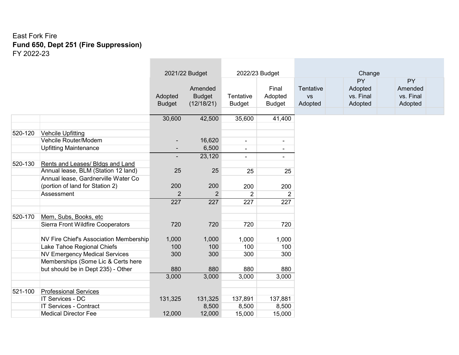|         |                                               |                | 2021/22 Budget   |                          | 2022/23 Budget           |           | Change    |           |
|---------|-----------------------------------------------|----------------|------------------|--------------------------|--------------------------|-----------|-----------|-----------|
|         |                                               |                |                  |                          |                          |           | <b>PY</b> | <b>PY</b> |
|         |                                               |                | Amended          |                          | Final                    | Tentative | Adopted   | Amended   |
|         |                                               | Adopted        | <b>Budget</b>    | Tentative                | Adopted                  | <b>VS</b> | vs. Final | vs. Final |
|         |                                               | <b>Budget</b>  | (12/18/21)       | <b>Budget</b>            | <b>Budget</b>            | Adopted   | Adopted   | Adopted   |
|         |                                               |                |                  |                          |                          |           |           |           |
|         |                                               | 30,600         | 42,500           | 35,600                   | 41,400                   |           |           |           |
|         |                                               |                |                  |                          |                          |           |           |           |
| 520-120 | <b>Vehcile Upfitting</b>                      |                |                  |                          |                          |           |           |           |
|         | Vehcile Router/Modem                          |                | 16,620           | $\overline{\phantom{0}}$ | $\overline{\phantom{a}}$ |           |           |           |
|         | <b>Upfitting Maintenance</b>                  |                | 6,500            | $\overline{\phantom{0}}$ | $\overline{\phantom{0}}$ |           |           |           |
|         |                                               |                | 23,120           | $\overline{\phantom{0}}$ | $\overline{\phantom{0}}$ |           |           |           |
| 520-130 | Rents and Leases/ Bldgs and Land              |                |                  |                          |                          |           |           |           |
|         | Annual lease, BLM (Station 12 land)           | 25             | 25               | 25                       | 25                       |           |           |           |
|         | Annual lease, Gardnerville Water Co           |                |                  |                          |                          |           |           |           |
|         | (portion of land for Station 2)               | 200            | 200              | 200                      | 200                      |           |           |           |
|         | Assessment                                    | $\overline{2}$ | $\overline{2}$   | $\overline{2}$           | $\overline{2}$           |           |           |           |
|         |                                               | 227            | $\overline{227}$ | $\overline{227}$         | $\overline{227}$         |           |           |           |
|         |                                               |                |                  |                          |                          |           |           |           |
| 520-170 | Mem, Subs, Books, etc                         |                |                  |                          |                          |           |           |           |
|         | Sierra Front Wildfire Cooperators             | 720            | 720              | 720                      | 720                      |           |           |           |
|         |                                               |                |                  |                          |                          |           |           |           |
|         | <b>NV Fire Chief's Association Membership</b> | 1,000          | 1,000            | 1,000                    | 1,000                    |           |           |           |
|         | Lake Tahoe Regional Chiefs                    | 100            | 100              | 100                      | 100                      |           |           |           |
|         | <b>NV Emergency Medical Services</b>          | 300            | 300              | 300                      | 300                      |           |           |           |
|         | Memberships (Some Lic & Certs here            |                |                  |                          |                          |           |           |           |
|         | but should be in Dept 235) - Other            | 880            | 880              | 880                      | 880                      |           |           |           |
|         |                                               | 3,000          | 3,000            | 3,000                    | 3,000                    |           |           |           |
|         |                                               |                |                  |                          |                          |           |           |           |
| 521-100 | <b>Professional Services</b>                  |                |                  |                          |                          |           |           |           |
|         | <b>IT Services - DC</b>                       | 131,325        | 131,325          | 137,891                  | 137,881                  |           |           |           |
|         | <b>IT Services - Contract</b>                 |                | 8,500            | 8,500                    | 8,500                    |           |           |           |
|         | <b>Medical Director Fee</b>                   | 12,000         | 12,000           | 15,000                   | 15,000                   |           |           |           |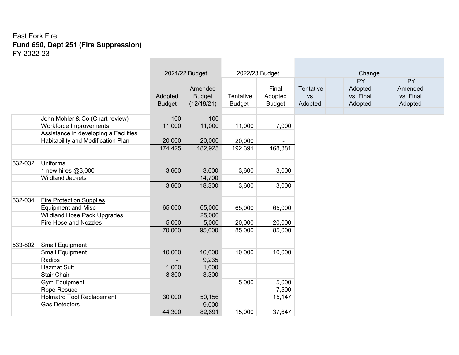|         |                                       |               | 2021/22 Budget |               | 2022/23 Budget |           | Change    |           |
|---------|---------------------------------------|---------------|----------------|---------------|----------------|-----------|-----------|-----------|
|         |                                       |               |                |               |                |           | <b>PY</b> | <b>PY</b> |
|         |                                       |               | Amended        |               | Final          | Tentative | Adopted   | Amended   |
|         |                                       | Adopted       | <b>Budget</b>  | Tentative     | Adopted        | <b>VS</b> | vs. Final | vs. Final |
|         |                                       | <b>Budget</b> | (12/18/21)     | <b>Budget</b> | <b>Budget</b>  | Adopted   | Adopted   | Adopted   |
|         |                                       |               |                |               |                |           |           |           |
|         | John Mohler & Co (Chart review)       | 100           | 100            |               |                |           |           |           |
|         | Workforce Improvements                | 11,000        | 11,000         | 11,000        | 7,000          |           |           |           |
|         | Assistance in developing a Facilities |               |                |               |                |           |           |           |
|         | Habitability and Modification Plan    | 20,000        | 20,000         | 20,000        |                |           |           |           |
|         |                                       | 174,425       | 182,925        | 192,391       | 168,381        |           |           |           |
|         |                                       |               |                |               |                |           |           |           |
| 532-032 | <b>Uniforms</b>                       |               |                |               |                |           |           |           |
|         | 1 new hires @3,000                    | 3,600         | 3,600          | 3,600         | 3,000          |           |           |           |
|         | <b>Wildland Jackets</b>               |               | 14,700         |               |                |           |           |           |
|         |                                       | 3,600         | 18,300         | 3,600         | 3,000          |           |           |           |
|         |                                       |               |                |               |                |           |           |           |
| 532-034 | <b>Fire Protection Supplies</b>       |               |                |               |                |           |           |           |
|         | <b>Equipment and Misc</b>             | 65,000        | 65,000         | 65,000        | 65,000         |           |           |           |
|         | <b>Wildland Hose Pack Upgrades</b>    |               | 25,000         |               |                |           |           |           |
|         | <b>Fire Hose and Nozzles</b>          | 5,000         | 5,000          | 20,000        | 20,000         |           |           |           |
|         |                                       | 70,000        | 95,000         | 85,000        | 85,000         |           |           |           |
|         |                                       |               |                |               |                |           |           |           |
| 533-802 | <b>Small Equipment</b>                |               |                |               |                |           |           |           |
|         | <b>Small Equipment</b>                | 10,000        | 10,000         | 10,000        | 10,000         |           |           |           |
|         | Radios<br><b>Hazmat Suit</b>          | 1,000         | 9,235          |               |                |           |           |           |
|         | <b>Stair Chair</b>                    |               | 1,000          |               |                |           |           |           |
|         |                                       | 3,300         | 3,300          | 5,000         | 5,000          |           |           |           |
|         | <b>Gym Equipment</b><br>Rope Resuce   |               |                |               | 7,500          |           |           |           |
|         | Holmatro Tool Replacement             | 30,000        | 50,156         |               | 15,147         |           |           |           |
|         | <b>Gas Detectors</b>                  |               | 9,000          |               |                |           |           |           |
|         |                                       |               |                |               |                |           |           |           |
|         |                                       | 44,300        | 82,691         | 15,000        | 37,647         |           |           |           |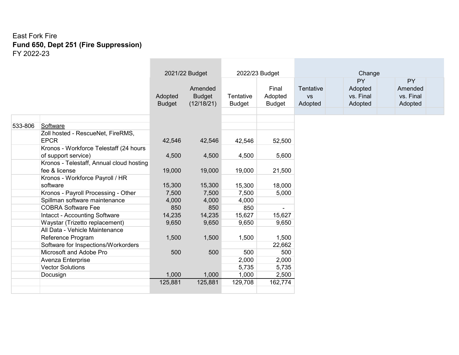|         |                                          |               | 2021/22 Budget |               | 2022/23 Budget |           | Change    |           |
|---------|------------------------------------------|---------------|----------------|---------------|----------------|-----------|-----------|-----------|
|         |                                          |               |                |               |                |           | PY        | <b>PY</b> |
|         |                                          |               | Amended        |               | Final          | Tentative | Adopted   | Amended   |
|         |                                          | Adopted       | <b>Budget</b>  | Tentative     | Adopted        | <b>VS</b> | vs. Final | vs. Final |
|         |                                          | <b>Budget</b> | (12/18/21)     | <b>Budget</b> | <b>Budget</b>  | Adopted   | Adopted   | Adopted   |
|         |                                          |               |                |               |                |           |           |           |
|         |                                          |               |                |               |                |           |           |           |
| 533-806 | Software                                 |               |                |               |                |           |           |           |
|         | Zoll hosted - RescueNet, FireRMS,        |               |                |               |                |           |           |           |
|         | <b>EPCR</b>                              | 42,546        | 42,546         | 42,546        | 52,500         |           |           |           |
|         | Kronos - Workforce Telestaff (24 hours   |               |                |               |                |           |           |           |
|         | of support service)                      | 4,500         | 4,500          | 4,500         | 5,600          |           |           |           |
|         | Kronos - Telestaff, Annual cloud hosting |               |                |               |                |           |           |           |
|         | fee & license                            | 19,000        | 19,000         | 19,000        | 21,500         |           |           |           |
|         | Kronos - Workforce Payroll / HR          |               |                |               |                |           |           |           |
|         | software                                 | 15,300        | 15,300         | 15,300        | 18,000         |           |           |           |
|         | Kronos - Payroll Processing - Other      | 7,500         | 7,500          | 7,500         | 5,000          |           |           |           |
|         | Spillman software maintenance            | 4,000         | 4,000          | 4,000         |                |           |           |           |
|         | <b>COBRA Software Fee</b>                | 850           | 850            | 850           |                |           |           |           |
|         | Intacct - Accounting Software            | 14,235        | 14,235         | 15,627        | 15,627         |           |           |           |
|         | Waystar (Trizetto replacement)           | 9,650         | 9,650          | 9,650         | 9,650          |           |           |           |
|         | All Data - Vehicle Maintenance           |               |                |               |                |           |           |           |
|         | Reference Program                        | 1,500         | 1,500          | 1,500         | 1,500          |           |           |           |
|         | Software for Inspections/Workorders      |               |                |               | 22,662         |           |           |           |
|         | Microsoft and Adobe Pro                  | 500           | 500            | 500           | 500            |           |           |           |
|         | Avenza Enterprise                        |               |                | 2,000         | 2,000          |           |           |           |
|         | <b>Vector Solutions</b>                  |               |                | 5,735         | 5,735          |           |           |           |
|         | Docusign                                 | 1,000         | 1,000          | 1,000         | 2,500          |           |           |           |
|         |                                          | 125,881       | 125,881        | 129,708       | 162,774        |           |           |           |
|         |                                          |               |                |               |                |           |           |           |

 $\sim$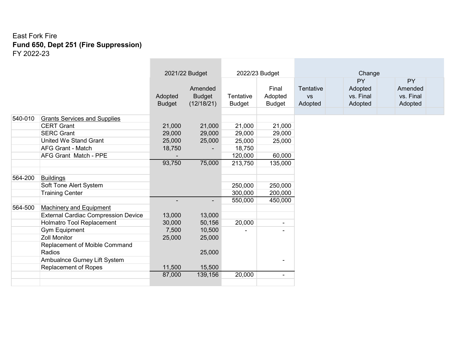|         |                                            |               | 2021/22 Budget           |               | 2022/23 Budget           |           | Change    |           |
|---------|--------------------------------------------|---------------|--------------------------|---------------|--------------------------|-----------|-----------|-----------|
|         |                                            |               |                          |               |                          |           | <b>PY</b> | <b>PY</b> |
|         |                                            |               | Amended                  |               | Final                    | Tentative | Adopted   | Amended   |
|         |                                            | Adopted       | <b>Budget</b>            | Tentative     | Adopted                  | <b>VS</b> | vs. Final | vs. Final |
|         |                                            | <b>Budget</b> | (12/18/21)               | <b>Budget</b> | <b>Budget</b>            | Adopted   | Adopted   | Adopted   |
|         |                                            |               |                          |               |                          |           |           |           |
| 540-010 | <b>Grants Services and Supplies</b>        |               |                          |               |                          |           |           |           |
|         | <b>CERT Grant</b>                          | 21,000        | 21,000                   | 21,000        | 21,000                   |           |           |           |
|         | <b>SERC Grant</b>                          | 29,000        | 29,000                   | 29,000        | 29,000                   |           |           |           |
|         | <b>United We Stand Grant</b>               | 25,000        | 25,000                   | 25,000        | 25,000                   |           |           |           |
|         | <b>AFG Grant - Match</b>                   | 18,750        |                          | 18,750        |                          |           |           |           |
|         | <b>AFG Grant Match - PPE</b>               |               |                          | 120,000       | 60,000                   |           |           |           |
|         |                                            | 93,750        | 75,000                   | 213,750       | 135,000                  |           |           |           |
|         |                                            |               |                          |               |                          |           |           |           |
| 564-200 | <b>Buildings</b>                           |               |                          |               |                          |           |           |           |
|         | Soft Tone Alert System                     |               |                          | 250,000       | 250,000                  |           |           |           |
|         | <b>Training Center</b>                     |               |                          | 300,000       | 200,000                  |           |           |           |
|         |                                            |               | $\overline{\phantom{a}}$ | 550,000       | 450,000                  |           |           |           |
| 564-500 | <b>Machinery and Equipment</b>             |               |                          |               |                          |           |           |           |
|         | <b>External Cardiac Compression Device</b> | 13,000        | 13,000                   |               |                          |           |           |           |
|         | Holmatro Tool Replacement                  | 30,000        | 50,156                   | 20,000        | $\overline{\phantom{0}}$ |           |           |           |
|         | <b>Gym Equipment</b>                       | 7,500         | 10,500                   |               | $\blacksquare$           |           |           |           |
|         | <b>Zoll Monitor</b>                        | 25,000        | 25,000                   |               |                          |           |           |           |
|         | Replacement of Moible Command              |               |                          |               |                          |           |           |           |
|         | Radios                                     |               | 25,000                   |               |                          |           |           |           |
|         | Ambualnce Gurney Lift System               |               |                          |               | $\overline{\phantom{0}}$ |           |           |           |
|         | Replacement of Ropes                       | 11,500        | 15,500                   |               |                          |           |           |           |
|         |                                            | 87,000        | 139,156                  | 20,000        | $\overline{\phantom{a}}$ |           |           |           |
|         |                                            |               |                          |               |                          |           |           |           |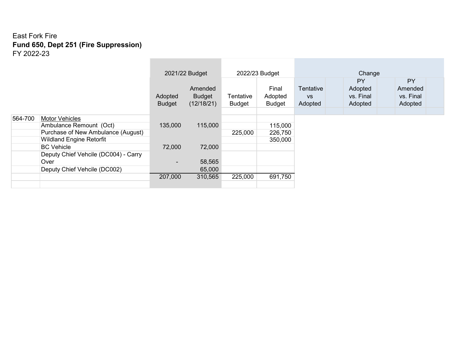|         |                                      | 2021/22 Budget           |                                        |         | 2022/23 Budget                    | Change                            |                                              |                                       |  |  |  |
|---------|--------------------------------------|--------------------------|----------------------------------------|---------|-----------------------------------|-----------------------------------|----------------------------------------------|---------------------------------------|--|--|--|
|         |                                      | Adopted<br><b>Budget</b> | Amended<br><b>Budget</b><br>(12/18/21) |         | Final<br>Adopted<br><b>Budget</b> | Tentative<br><b>VS</b><br>Adopted | <b>PY</b><br>Adopted<br>vs. Final<br>Adopted | PY<br>Amended<br>vs. Final<br>Adopted |  |  |  |
| 564-700 | <b>Motor Vehicles</b>                |                          |                                        |         |                                   |                                   |                                              |                                       |  |  |  |
|         | Ambulance Remount (Oct)              | 135,000                  | 115,000                                |         | 115,000                           |                                   |                                              |                                       |  |  |  |
|         | Purchase of New Ambulance (August)   |                          |                                        | 225,000 | 226,750                           |                                   |                                              |                                       |  |  |  |
|         | <b>Wildland Engine Retorfit</b>      |                          |                                        |         | 350,000                           |                                   |                                              |                                       |  |  |  |
|         | <b>BC</b> Vehicle                    | 72,000                   | 72,000                                 |         |                                   |                                   |                                              |                                       |  |  |  |
|         | Deputy Chief Vehcile (DC004) - Carry |                          |                                        |         |                                   |                                   |                                              |                                       |  |  |  |
|         | Over                                 | $\overline{\phantom{0}}$ | 58,565                                 |         |                                   |                                   |                                              |                                       |  |  |  |
|         | Deputy Chief Vehcile (DC002)         |                          | 65,000                                 |         |                                   |                                   |                                              |                                       |  |  |  |
|         |                                      | 207,000                  | 310,565                                | 225,000 | 691,750                           |                                   |                                              |                                       |  |  |  |
|         |                                      |                          |                                        |         |                                   |                                   |                                              |                                       |  |  |  |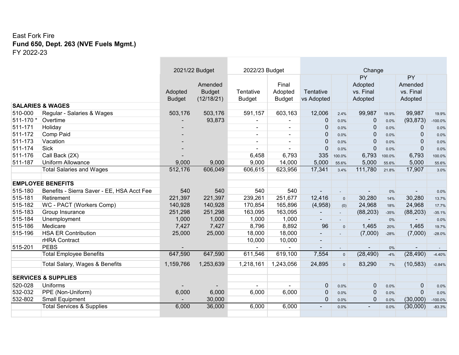#### East Fork Fire **Fund 650, Dept. 263 (NVE Fuels Mgmt.)** FY 2022-23

|           |                                            |                          | 2021/22 Budget                         | 2022/23 Budget             | Change                            |                          |                     |                                       |         |                                       |           |
|-----------|--------------------------------------------|--------------------------|----------------------------------------|----------------------------|-----------------------------------|--------------------------|---------------------|---------------------------------------|---------|---------------------------------------|-----------|
|           |                                            | Adopted<br><b>Budget</b> | Amended<br><b>Budget</b><br>(12/18/21) | Tentative<br><b>Budget</b> | Final<br>Adopted<br><b>Budget</b> | Tentative<br>vs Adopted  |                     | PY<br>Adopted<br>vs. Final<br>Adopted |         | PY<br>Amended<br>vs. Final<br>Adopted |           |
|           | <b>SALARIES &amp; WAGES</b>                |                          |                                        |                            |                                   |                          |                     |                                       |         |                                       |           |
| 510-000   | Regular - Salaries & Wages                 | 503,176                  | 503,176                                | 591,157                    | 603,163                           | 12,006                   | 2.4%                | 99,987                                | 19.9%   | 99,987                                | 19.9%     |
| 511-170 * | Overtime                                   |                          | 93,873                                 |                            |                                   | 0                        | 0.0%                | 0                                     | 0.0%    | (93, 873)                             | $-100.0%$ |
| 511-171   | Holiday                                    |                          |                                        |                            |                                   | $\Omega$                 | 0.0%                | $\mathbf{0}$                          | $0.0\%$ | $\overline{0}$                        | 0.0%      |
| 511-172   | Comp Paid                                  |                          |                                        | $\sim$                     | $\blacksquare$                    | $\Omega$                 | $0.0\%$             | $\mathbf{0}$                          | $0.0\%$ | $\mathbf{0}$                          | 0.0%      |
| 511-173   | Vacation                                   |                          |                                        | $\sim$                     | $\overline{\phantom{a}}$          | $\Omega$                 | 0.0%                | $\mathbf{0}$                          | 0.0%    | $\Omega$                              | 0.0%      |
| 511-174   | <b>Sick</b>                                |                          |                                        | $\sim$                     |                                   | 0                        | 0.0%                | $\mathbf 0$                           | $0.0\%$ | $\Omega$                              | 0.0%      |
| 511-176   | Call Back (2X)                             |                          |                                        | 6,458                      | 6,793                             | 335                      | 100.0%              | 6,793                                 | 100.0%  | 6,793                                 | 100.0%    |
| 511-187   | <b>Uniform Allowance</b>                   | 9,000                    | 9,000                                  | 9,000                      | 14,000                            | 5,000                    | 55.6%               | 5,000                                 | 55.6%   | 5,000                                 | 55.6%     |
|           | <b>Total Salaries and Wages</b>            | 512,176                  | 606,049                                | 606,615                    | 623,956                           | 17,341                   | 3.4%                | 111,780                               | 21.8%   | 17,907                                | 3.0%      |
|           | <b>EMPLOYEE BENEFITS</b>                   |                          |                                        |                            |                                   |                          |                     |                                       |         |                                       |           |
| 515-180   | Benefits - Sierra Saver - EE, HSA Acct Fee | 540                      | 540                                    | 540                        | 540                               |                          |                     |                                       | 0%      |                                       | 0.0%      |
| 515-181   | Retirement                                 | 221,397                  | 221,397                                | 239,261                    | 251,677                           | 12,416                   | $\Omega$            | 30,280                                | 14%     | 30,280                                | 13.7%     |
| 515-182   | WC - PACT (Workers Comp)                   | 140,928                  | 140,928                                | 170,854                    | 165,896                           | (4,958)                  | (0)                 | 24,968                                | 18%     | 24,968                                | 17.7%     |
| 515-183   | Group Insurance                            | 251,298                  | 251,298                                | 163,095                    | 163,095                           | $\overline{\phantom{a}}$ | $\mathcal{L}^{\pm}$ | (88, 203)                             | $-35%$  | (88, 203)                             | $-35.1%$  |
| 515-184   | Unemployment                               | 1,000                    | 1,000                                  | 1,000                      | 1,000                             | $\blacksquare$           |                     |                                       | 0%      |                                       | 0.0%      |
| 515-186   | Medicare                                   | 7,427                    | 7,427                                  | 8,796                      | 8,892                             | 96                       | $\Omega$            | 1,465                                 | 20%     | 1,465                                 | 19.7%     |
| 515-196   | <b>HSA ER Contribution</b>                 | 25,000                   | 25,000                                 | 18,000                     | 18,000                            | ۰.                       |                     | (7,000)                               | $-28%$  | (7,000)                               | $-28.0%$  |
|           | rHRA Contract                              |                          |                                        | 10,000                     | 10,000                            | $\blacksquare$           |                     |                                       |         |                                       |           |
| 515-201   | <b>PEBS</b>                                |                          |                                        | $\blacksquare$             | $\blacksquare$                    | $\sim$                   |                     | $\sim$                                | 0%      | $\sim$                                |           |
|           | <b>Total Employee Benefits</b>             | 647,590                  | 647,590                                | 611,546                    | 619,100                           | 7,554                    | $\mathbf{0}$        | (28, 490)                             | $-4%$   | (28, 490)                             | $-4.40%$  |
|           | Total Salary, Wages & Benefits             | 1,159,766                | 1,253,639                              | 1,218,161                  | 1,243,056                         | 24,895                   | $\overline{0}$      | 83,290                                | 7%      | (10, 583)                             | $-0.84%$  |
|           | <b>SERVICES &amp; SUPPLIES</b>             |                          |                                        |                            |                                   |                          |                     |                                       |         |                                       |           |
| 520-028   | <b>Uniforms</b>                            |                          |                                        |                            |                                   | 0                        | 0.0%                | $\mathbf{0}$                          | 0.0%    | $\overline{0}$                        | 0.0%      |
| 532-032   | PPE (Non-Uniform)                          | 6,000                    | 6,000                                  | 6,000                      | 6,000                             | 0                        | 0.0%                | $\overline{0}$                        | 0.0%    | $\mathbf 0$                           | 0.0%      |
| 532-802   | <b>Small Equipment</b>                     |                          | 30,000                                 |                            |                                   | 0                        | 0.0%                | $\Omega$                              | 0.0%    | (30,000)                              | $-100.0%$ |
|           | <b>Total Services &amp; Supplies</b>       | 6,000                    | 36,000                                 | 6,000                      | 6,000                             |                          | 0.0%                |                                       | 0.0%    | (30,000)                              | $-83.3%$  |
|           |                                            |                          |                                        |                            |                                   |                          |                     |                                       |         |                                       |           |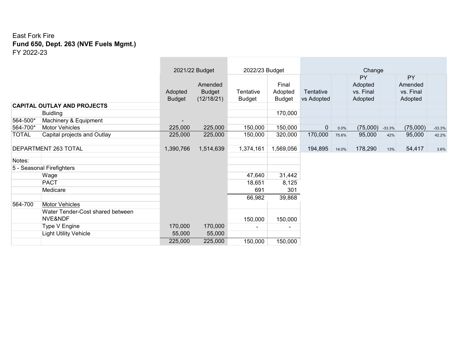#### East Fork Fire **Fund 650, Dept. 263 (NVE Fuels Mgmt.)** FY 2022-23

|              |                                    | 2021/22 Budget           |                                        | 2022/23 Budget             |                                   | Change                  |       |                                       |          |                                       |          |
|--------------|------------------------------------|--------------------------|----------------------------------------|----------------------------|-----------------------------------|-------------------------|-------|---------------------------------------|----------|---------------------------------------|----------|
|              |                                    | Adopted<br><b>Budget</b> | Amended<br><b>Budget</b><br>(12/18/21) | Tentative<br><b>Budget</b> | Final<br>Adopted<br><b>Budget</b> | Tentative<br>vs Adopted |       | PY<br>Adopted<br>vs. Final<br>Adopted |          | PY<br>Amended<br>vs. Final<br>Adopted |          |
|              | <b>CAPITAL OUTLAY AND PROJECTS</b> |                          |                                        |                            |                                   |                         |       |                                       |          |                                       |          |
|              | <b>Buidling</b>                    |                          |                                        |                            | 170,000                           |                         |       |                                       |          |                                       |          |
| 564-500*     | Machinery & Equipment              | $\overline{\phantom{a}}$ |                                        |                            |                                   |                         |       |                                       |          |                                       |          |
| 564-700*     | <b>Motor Vehicles</b>              | 225,000                  | 225,000                                | 150,000                    | 150,000                           | $\overline{0}$          | 0.0%  | (75,000)                              | $-33.3%$ | (75,000)                              | $-33.3%$ |
| <b>TOTAL</b> | Capital projects and Outlay        | 225,000                  | 225,000                                | 150,000                    | 320,000                           | 170,000                 | 75.6% | 95,000                                | 42%      | 95,000                                | 42.2%    |
|              | DEPARTMENT 263 TOTAL               | 1,390,766                | 1,514,639                              | 1,374,161                  | 1,569,056                         | 194,895                 | 14.0% | 178,290                               | 13%      | 54,417                                | 3.6%     |
| Notes:       |                                    |                          |                                        |                            |                                   |                         |       |                                       |          |                                       |          |
|              | 5 - Seasonal Firefighters          |                          |                                        |                            |                                   |                         |       |                                       |          |                                       |          |
|              | Wage                               |                          |                                        | 47,640                     | 31,442                            |                         |       |                                       |          |                                       |          |
|              | <b>PACT</b>                        |                          |                                        | 18,651                     | 8,125                             |                         |       |                                       |          |                                       |          |
|              | Medicare                           |                          |                                        | 691                        | 301                               |                         |       |                                       |          |                                       |          |
|              |                                    |                          |                                        | 66,982                     | 39,868                            |                         |       |                                       |          |                                       |          |
| 564-700      | <b>Motor Vehicles</b>              |                          |                                        |                            |                                   |                         |       |                                       |          |                                       |          |
|              | Water Tender-Cost shared between   |                          |                                        |                            |                                   |                         |       |                                       |          |                                       |          |
|              | NVE&NDF                            |                          |                                        | 150,000                    | 150,000                           |                         |       |                                       |          |                                       |          |
|              | Type V Engine                      | 170,000                  | 170,000                                | $\blacksquare$             | ٠                                 |                         |       |                                       |          |                                       |          |
|              | <b>Light Utility Vehicle</b>       | 55,000                   | 55,000                                 |                            |                                   |                         |       |                                       |          |                                       |          |
|              |                                    | 225,000                  | 225,000                                | 150,000                    | 150,000                           |                         |       |                                       |          |                                       |          |

the control of the control of

 $\sim$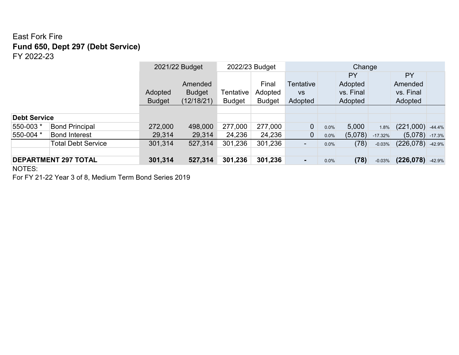## East Fork Fire **Fund 650, Dept 297 (Debt Service)** FY 2022-23

|                           |                             |                             | 2021/22 Budget |               | 2022/23 Budget |                          | Change |           |           |                    |          |
|---------------------------|-----------------------------|-----------------------------|----------------|---------------|----------------|--------------------------|--------|-----------|-----------|--------------------|----------|
|                           |                             |                             |                |               |                |                          |        | PY        |           | PY                 |          |
|                           |                             |                             | Amended        |               | Final          | Tentative                |        | Adopted   |           | Amended            |          |
|                           |                             | Adopted                     | <b>Budget</b>  | Tentative     | Adopted        | <b>VS</b>                |        | vs. Final |           | vs. Final          |          |
|                           |                             | (12/18/21)<br><b>Budget</b> |                | <b>Budget</b> | <b>Budget</b>  | Adopted                  |        | Adopted   |           | Adopted            |          |
|                           |                             |                             |                |               |                |                          |        |           |           |                    |          |
| <b>Debt Service</b>       |                             |                             |                |               |                |                          |        |           |           |                    |          |
| 550-003 *                 | <b>Bond Principal</b>       | 272,000                     | 498,000        | 277,000       | 277,000        | $\overline{0}$           | 0.0%   | 5,000     | 1.8%      | $(221,000)$ -44.4% |          |
| 550-004 *                 | <b>Bond Interest</b>        | 29,314                      | 29,314         | 24,236        | 24,236         | $\overline{0}$           | 0.0%   | (5,078)   | $-17.32%$ | (5,078)            | $-17.3%$ |
| <b>Total Debt Service</b> |                             | 301,314                     | 527,314        | 301,236       | 301,236        | $\overline{\phantom{a}}$ | 0.0%   | (78)      | $-0.03%$  | (226, 078)         | $-42.9%$ |
|                           |                             |                             |                |               |                |                          |        |           |           |                    |          |
|                           | <b>DEPARTMENT 297 TOTAL</b> | 301,314                     | 527,314        | 301,236       | 301,236        | $\blacksquare$           | 0.0%   | (78)      | $-0.03%$  | $(226,078)$ -42.9% |          |

NOTES:

For FY 21-22 Year 3 of 8, Medium Term Bond Series 2019